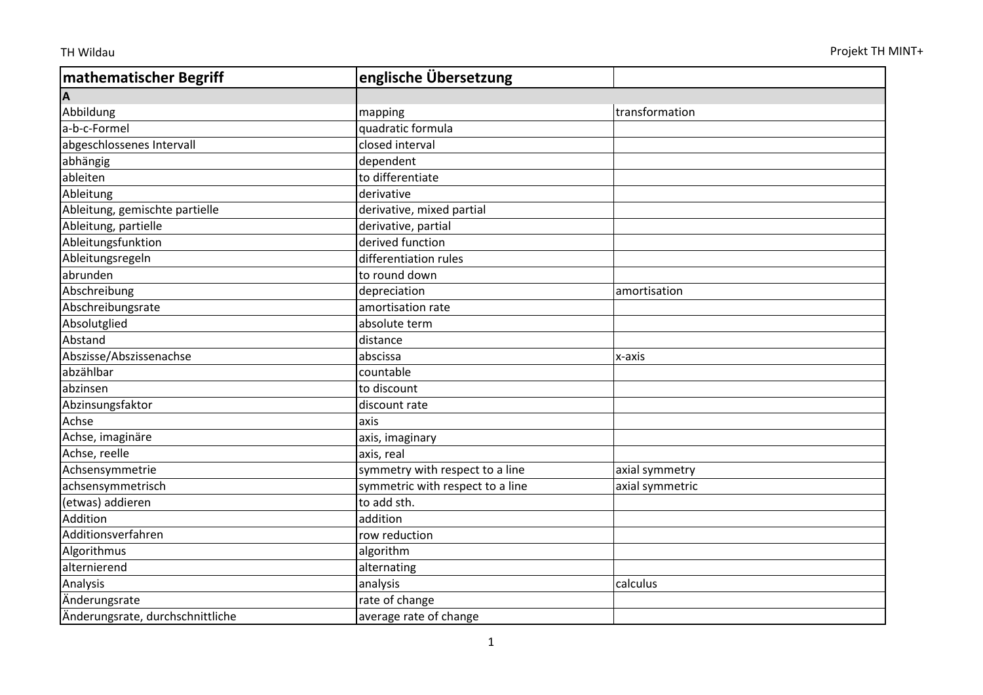| <b>mathematischer Begriff</b>    | englische Übersetzung            |                 |
|----------------------------------|----------------------------------|-----------------|
| A                                |                                  |                 |
| Abbildung                        | mapping                          | transformation  |
| a-b-c-Formel                     | quadratic formula                |                 |
| abgeschlossenes Intervall        | closed interval                  |                 |
| abhängig                         | dependent                        |                 |
| ableiten                         | to differentiate                 |                 |
| Ableitung                        | derivative                       |                 |
| Ableitung, gemischte partielle   | derivative, mixed partial        |                 |
| Ableitung, partielle             | derivative, partial              |                 |
| Ableitungsfunktion               | derived function                 |                 |
| Ableitungsregeln                 | differentiation rules            |                 |
| abrunden                         | to round down                    |                 |
| Abschreibung                     | depreciation                     | amortisation    |
| Abschreibungsrate                | amortisation rate                |                 |
| Absolutglied                     | absolute term                    |                 |
| Abstand                          | distance                         |                 |
| Abszisse/Abszissenachse          | abscissa                         | x-axis          |
| abzählbar                        | countable                        |                 |
| abzinsen                         | to discount                      |                 |
| Abzinsungsfaktor                 | discount rate                    |                 |
| Achse                            | axis                             |                 |
| Achse, imaginäre                 | axis, imaginary                  |                 |
| Achse, reelle                    | axis, real                       |                 |
| Achsensymmetrie                  | symmetry with respect to a line  | axial symmetry  |
| achsensymmetrisch                | symmetric with respect to a line | axial symmetric |
| (etwas) addieren                 | to add sth.                      |                 |
| Addition                         | addition                         |                 |
| Additionsverfahren               | row reduction                    |                 |
| Algorithmus                      | algorithm                        |                 |
| alternierend                     | alternating                      |                 |
| Analysis                         | analysis                         | calculus        |
| Änderungsrate                    | rate of change                   |                 |
| Änderungsrate, durchschnittliche | average rate of change           |                 |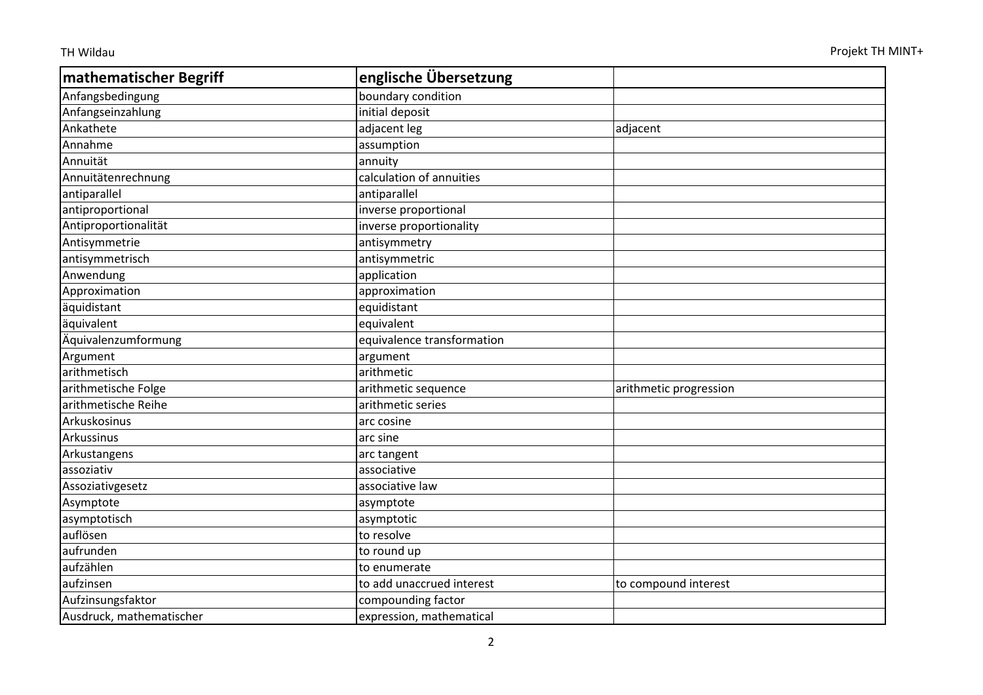| mathematischer Begriff   | englische Übersetzung      |                        |
|--------------------------|----------------------------|------------------------|
| Anfangsbedingung         | boundary condition         |                        |
| Anfangseinzahlung        | initial deposit            |                        |
| Ankathete                | adjacent leg               | adjacent               |
| Annahme                  | assumption                 |                        |
| Annuität                 | annuity                    |                        |
| Annuitätenrechnung       | calculation of annuities   |                        |
| antiparallel             | antiparallel               |                        |
| antiproportional         | inverse proportional       |                        |
| Antiproportionalität     | inverse proportionality    |                        |
| Antisymmetrie            | antisymmetry               |                        |
| antisymmetrisch          | antisymmetric              |                        |
| Anwendung                | application                |                        |
| Approximation            | approximation              |                        |
| äquidistant              | equidistant                |                        |
| äquivalent               | equivalent                 |                        |
| Äquivalenzumformung      | equivalence transformation |                        |
| Argument                 | argument                   |                        |
| arithmetisch             | arithmetic                 |                        |
| arithmetische Folge      | arithmetic sequence        | arithmetic progression |
| arithmetische Reihe      | arithmetic series          |                        |
| Arkuskosinus             | arc cosine                 |                        |
| Arkussinus               | arc sine                   |                        |
| Arkustangens             | arc tangent                |                        |
| assoziativ               | associative                |                        |
| Assoziativgesetz         | associative law            |                        |
| Asymptote                | asymptote                  |                        |
| asymptotisch             | asymptotic                 |                        |
| auflösen                 | to resolve                 |                        |
| aufrunden                | to round up                |                        |
| aufzählen                | to enumerate               |                        |
| aufzinsen                | to add unaccrued interest  | to compound interest   |
| Aufzinsungsfaktor        | compounding factor         |                        |
| Ausdruck, mathematischer | expression, mathematical   |                        |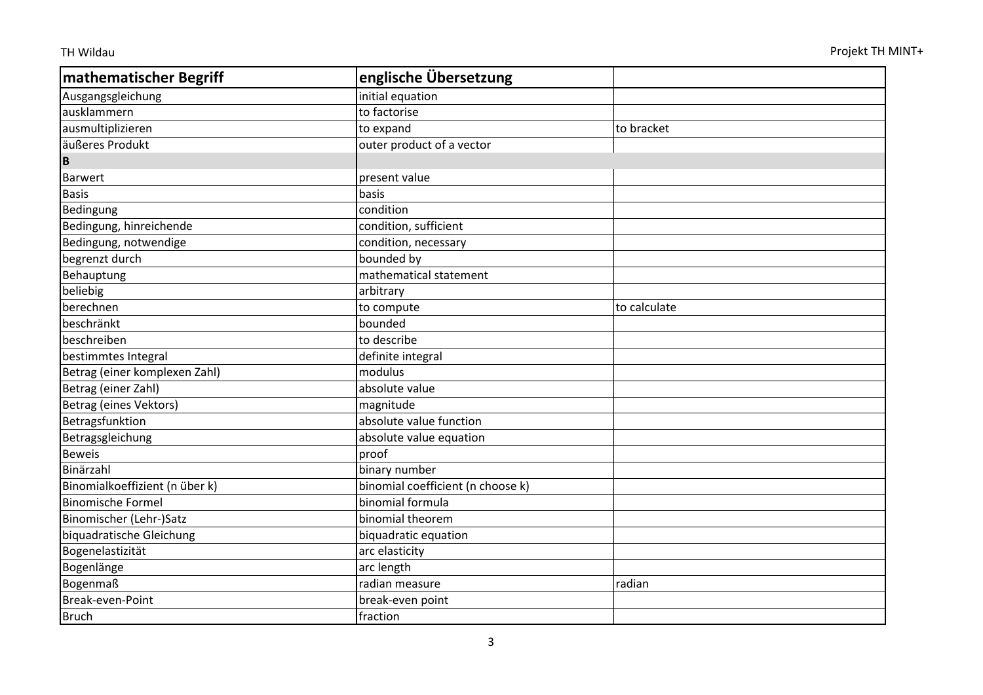| mathematischer Begriff         | englische Übersetzung             |              |
|--------------------------------|-----------------------------------|--------------|
| Ausgangsgleichung              | initial equation                  |              |
| ausklammern                    | to factorise                      |              |
| ausmultiplizieren              | to expand                         | to bracket   |
| äußeres Produkt                | outer product of a vector         |              |
| B                              |                                   |              |
| <b>Barwert</b>                 | present value                     |              |
| <b>Basis</b>                   | basis                             |              |
| Bedingung                      | condition                         |              |
| Bedingung, hinreichende        | condition, sufficient             |              |
| Bedingung, notwendige          | condition, necessary              |              |
| begrenzt durch                 | bounded by                        |              |
| Behauptung                     | mathematical statement            |              |
| beliebig                       | arbitrary                         |              |
| berechnen                      | to compute                        | to calculate |
| beschränkt                     | bounded                           |              |
| beschreiben                    | to describe                       |              |
| bestimmtes Integral            | definite integral                 |              |
| Betrag (einer komplexen Zahl)  | modulus                           |              |
| Betrag (einer Zahl)            | absolute value                    |              |
| Betrag (eines Vektors)         | magnitude                         |              |
| Betragsfunktion                | absolute value function           |              |
| Betragsgleichung               | absolute value equation           |              |
| <b>Beweis</b>                  | proof                             |              |
| Binärzahl                      | binary number                     |              |
| Binomialkoeffizient (n über k) | binomial coefficient (n choose k) |              |
| <b>Binomische Formel</b>       | binomial formula                  |              |
| Binomischer (Lehr-)Satz        | binomial theorem                  |              |
| biquadratische Gleichung       | biquadratic equation              |              |
| Bogenelastizität               | arc elasticity                    |              |
| Bogenlänge                     | arc length                        |              |
| <b>Bogenmaß</b>                | radian measure                    | radian       |
| Break-even-Point               | break-even point                  |              |
| Bruch                          | fraction                          |              |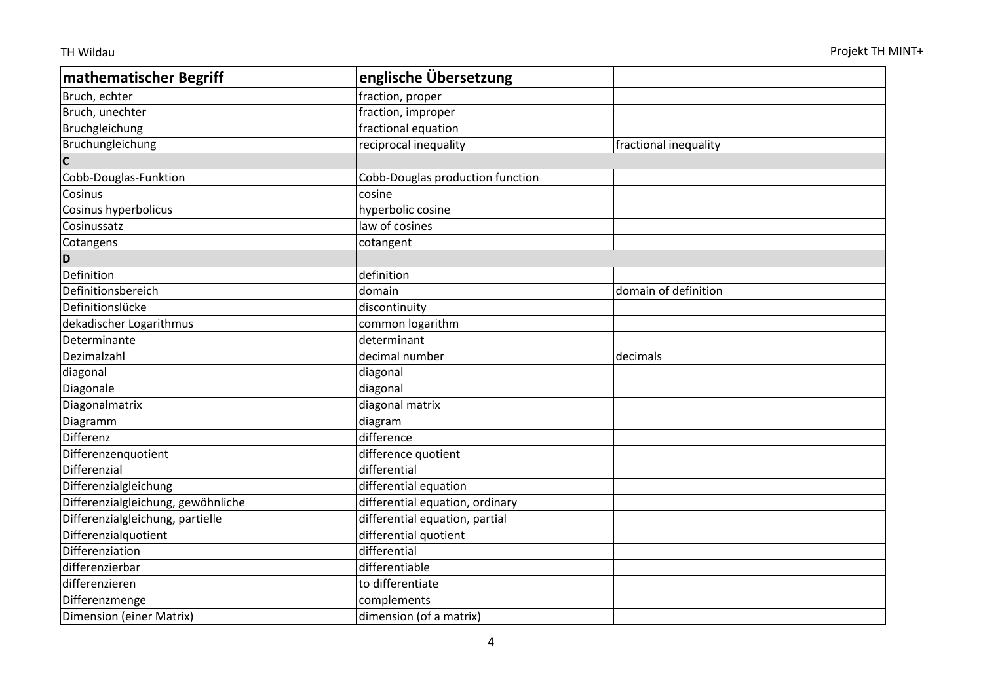| <b>mathematischer Begriff</b>      | englische Übersetzung            |                       |
|------------------------------------|----------------------------------|-----------------------|
| Bruch, echter                      | fraction, proper                 |                       |
| Bruch, unechter                    | fraction, improper               |                       |
| Bruchgleichung                     | fractional equation              |                       |
| Bruchungleichung                   | reciprocal inequality            | fractional inequality |
| $\mathbf c$                        |                                  |                       |
| Cobb-Douglas-Funktion              | Cobb-Douglas production function |                       |
| Cosinus                            | cosine                           |                       |
| Cosinus hyperbolicus               | hyperbolic cosine                |                       |
| Cosinussatz                        | law of cosines                   |                       |
| Cotangens                          | cotangent                        |                       |
| D                                  |                                  |                       |
| Definition                         | definition                       |                       |
| Definitionsbereich                 | domain                           | domain of definition  |
| Definitionslücke                   | discontinuity                    |                       |
| dekadischer Logarithmus            | common logarithm                 |                       |
| Determinante                       | determinant                      |                       |
| Dezimalzahl                        | decimal number                   | decimals              |
| diagonal                           | diagonal                         |                       |
| Diagonale                          | diagonal                         |                       |
| Diagonalmatrix                     | diagonal matrix                  |                       |
| Diagramm                           | diagram                          |                       |
| Differenz                          | difference                       |                       |
| Differenzenquotient                | difference quotient              |                       |
| Differenzial                       | differential                     |                       |
| Differenzialgleichung              | differential equation            |                       |
| Differenzialgleichung, gewöhnliche | differential equation, ordinary  |                       |
| Differenzialgleichung, partielle   | differential equation, partial   |                       |
| Differenzialquotient               | differential quotient            |                       |
| Differenziation                    | differential                     |                       |
| differenzierbar                    | differentiable                   |                       |
| differenzieren                     | to differentiate                 |                       |
| Differenzmenge                     | complements                      |                       |
| Dimension (einer Matrix)           | dimension (of a matrix)          |                       |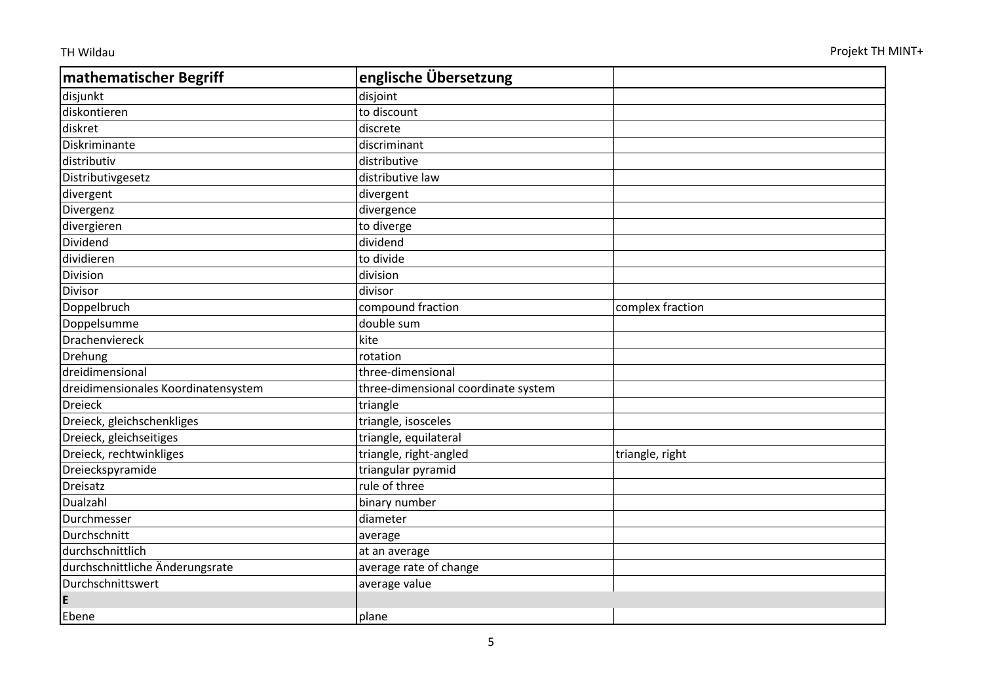| mathematischer Begriff              | englische Übersetzung               |                  |
|-------------------------------------|-------------------------------------|------------------|
| disjunkt                            | disjoint                            |                  |
| diskontieren                        | to discount                         |                  |
| diskret                             | discrete                            |                  |
| Diskriminante                       | discriminant                        |                  |
| distributiv                         | distributive                        |                  |
| Distributivgesetz                   | distributive law                    |                  |
| divergent                           | divergent                           |                  |
| Divergenz                           | divergence                          |                  |
| divergieren                         | to diverge                          |                  |
| Dividend                            | dividend                            |                  |
| dividieren                          | to divide                           |                  |
| Division                            | division                            |                  |
| Divisor                             | divisor                             |                  |
| Doppelbruch                         | compound fraction                   | complex fraction |
| Doppelsumme                         | double sum                          |                  |
| Drachenviereck                      | kite                                |                  |
| Drehung                             | rotation                            |                  |
| dreidimensional                     | three-dimensional                   |                  |
| dreidimensionales Koordinatensystem | three-dimensional coordinate system |                  |
| <b>Dreieck</b>                      | triangle                            |                  |
| Dreieck, gleichschenkliges          | triangle, isosceles                 |                  |
| Dreieck, gleichseitiges             | triangle, equilateral               |                  |
| Dreieck, rechtwinkliges             | triangle, right-angled              | triangle, right  |
| Dreieckspyramide                    | triangular pyramid                  |                  |
| Dreisatz                            | rule of three                       |                  |
| Dualzahl                            | binary number                       |                  |
| Durchmesser                         | diameter                            |                  |
| Durchschnitt                        | average                             |                  |
| durchschnittlich                    | at an average                       |                  |
| durchschnittliche Änderungsrate     | average rate of change              |                  |
| Durchschnittswert                   | average value                       |                  |
| E                                   |                                     |                  |
| Ebene                               | plane                               |                  |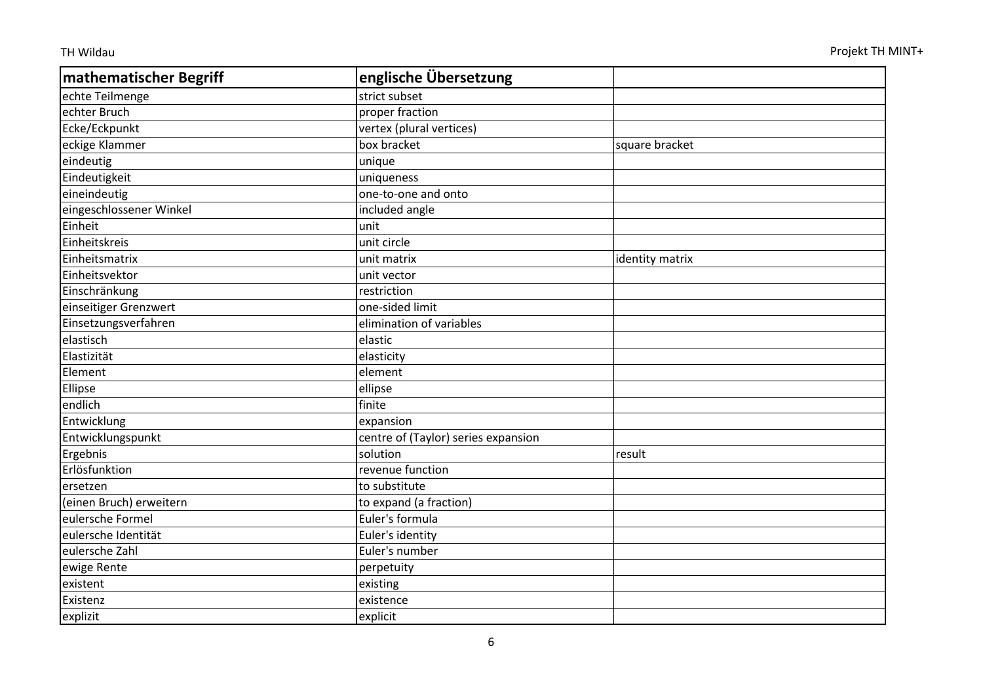| mathematischer Begriff  | englische Übersetzung               |                 |
|-------------------------|-------------------------------------|-----------------|
| echte Teilmenge         | strict subset                       |                 |
| echter Bruch            | proper fraction                     |                 |
| Ecke/Eckpunkt           | vertex (plural vertices)            |                 |
| eckige Klammer          | box bracket                         | square bracket  |
| eindeutig               | unique                              |                 |
| Eindeutigkeit           | uniqueness                          |                 |
| eineindeutig            | one-to-one and onto                 |                 |
| eingeschlossener Winkel | included angle                      |                 |
| Einheit                 | unit                                |                 |
| Einheitskreis           | unit circle                         |                 |
| Einheitsmatrix          | unit matrix                         | identity matrix |
| Einheitsvektor          | unit vector                         |                 |
| Einschränkung           | restriction                         |                 |
| einseitiger Grenzwert   | one-sided limit                     |                 |
| Einsetzungsverfahren    | elimination of variables            |                 |
| elastisch               | elastic                             |                 |
| Elastizität             | elasticity                          |                 |
| Element                 | element                             |                 |
| Ellipse                 | ellipse                             |                 |
| endlich                 | finite                              |                 |
| Entwicklung             | expansion                           |                 |
| Entwicklungspunkt       | centre of (Taylor) series expansion |                 |
| Ergebnis                | solution                            | result          |
| Erlösfunktion           | revenue function                    |                 |
| ersetzen                | to substitute                       |                 |
| (einen Bruch) erweitern | to expand (a fraction)              |                 |
| eulersche Formel        | Euler's formula                     |                 |
| eulersche Identität     | Euler's identity                    |                 |
| eulersche Zahl          | Euler's number                      |                 |
| ewige Rente             | perpetuity                          |                 |
| existent                | existing                            |                 |
| Existenz                | existence                           |                 |
| explizit                | explicit                            |                 |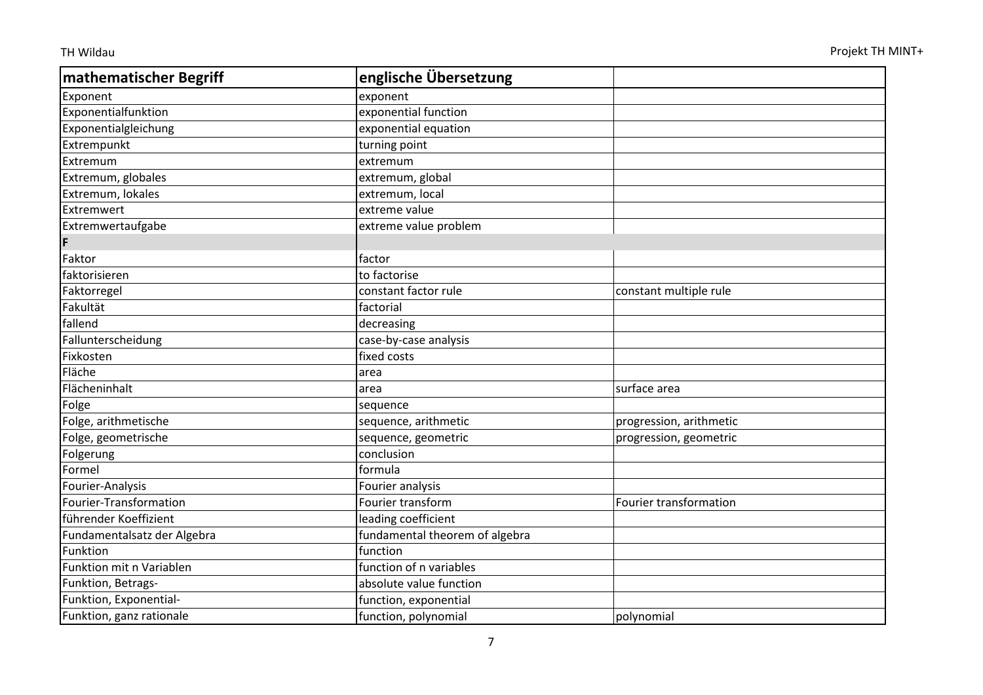| mathematischer Begriff      | englische Übersetzung          |                         |
|-----------------------------|--------------------------------|-------------------------|
| Exponent                    | exponent                       |                         |
| Exponentialfunktion         | exponential function           |                         |
| Exponentialgleichung        | exponential equation           |                         |
| Extrempunkt                 | turning point                  |                         |
| Extremum                    | extremum                       |                         |
| Extremum, globales          | extremum, global               |                         |
| Extremum, lokales           | extremum, local                |                         |
| Extremwert                  | extreme value                  |                         |
| Extremwertaufgabe           | extreme value problem          |                         |
| F                           |                                |                         |
| Faktor                      | factor                         |                         |
| faktorisieren               | to factorise                   |                         |
| Faktorregel                 | constant factor rule           | constant multiple rule  |
| Fakultät                    | factorial                      |                         |
| fallend                     | decreasing                     |                         |
| Fallunterscheidung          | case-by-case analysis          |                         |
| Fixkosten                   | fixed costs                    |                         |
| Fläche                      | area                           |                         |
| Flächeninhalt               | area                           | surface area            |
| Folge                       | sequence                       |                         |
| Folge, arithmetische        | sequence, arithmetic           | progression, arithmetic |
| Folge, geometrische         | sequence, geometric            | progression, geometric  |
| Folgerung                   | conclusion                     |                         |
| Formel                      | formula                        |                         |
| Fourier-Analysis            | Fourier analysis               |                         |
| Fourier-Transformation      | Fourier transform              | Fourier transformation  |
| führender Koeffizient       | leading coefficient            |                         |
| Fundamentalsatz der Algebra | fundamental theorem of algebra |                         |
| Funktion                    | function                       |                         |
| Funktion mit n Variablen    | function of n variables        |                         |
| Funktion, Betrags-          | absolute value function        |                         |
| Funktion, Exponential-      | function, exponential          |                         |
| Funktion, ganz rationale    | function, polynomial           | polynomial              |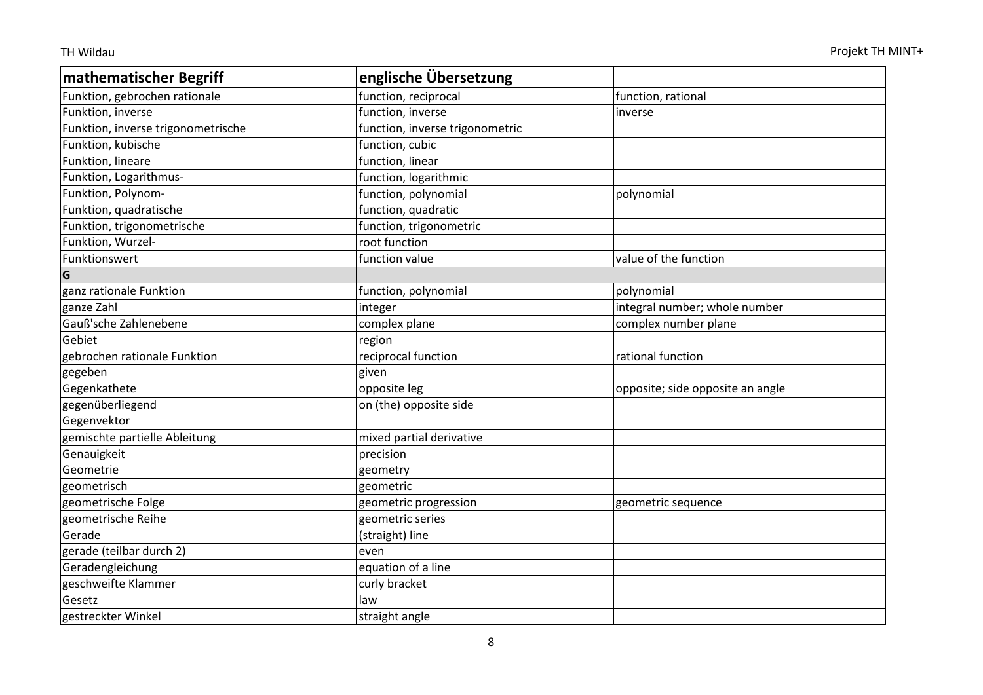| mathematischer Begriff             | englische Übersetzung           |                                  |
|------------------------------------|---------------------------------|----------------------------------|
| Funktion, gebrochen rationale      | function, reciprocal            | function, rational               |
| Funktion, inverse                  | function, inverse               | inverse                          |
| Funktion, inverse trigonometrische | function, inverse trigonometric |                                  |
| Funktion, kubische                 | function, cubic                 |                                  |
| Funktion, lineare                  | function, linear                |                                  |
| Funktion, Logarithmus-             | function, logarithmic           |                                  |
| Funktion, Polynom-                 | function, polynomial            | polynomial                       |
| Funktion, quadratische             | function, quadratic             |                                  |
| Funktion, trigonometrische         | function, trigonometric         |                                  |
| Funktion, Wurzel-                  | root function                   |                                  |
| Funktionswert                      | function value                  | value of the function            |
| G                                  |                                 |                                  |
| ganz rationale Funktion            | function, polynomial            | polynomial                       |
| ganze Zahl                         | integer                         | integral number; whole number    |
| Gauß'sche Zahlenebene              | complex plane                   | complex number plane             |
| Gebiet                             | region                          |                                  |
| gebrochen rationale Funktion       | reciprocal function             | rational function                |
| gegeben                            | given                           |                                  |
| Gegenkathete                       | opposite leg                    | opposite; side opposite an angle |
| gegenüberliegend                   | on (the) opposite side          |                                  |
| Gegenvektor                        |                                 |                                  |
| gemischte partielle Ableitung      | mixed partial derivative        |                                  |
| Genauigkeit                        | precision                       |                                  |
| Geometrie                          | geometry                        |                                  |
| geometrisch                        | geometric                       |                                  |
| geometrische Folge                 | geometric progression           | geometric sequence               |
| geometrische Reihe                 | geometric series                |                                  |
| Gerade                             | (straight) line                 |                                  |
| gerade (teilbar durch 2)           | even                            |                                  |
| Geradengleichung                   | equation of a line              |                                  |
| geschweifte Klammer                | curly bracket                   |                                  |
| Gesetz                             | law                             |                                  |
| gestreckter Winkel                 | straight angle                  |                                  |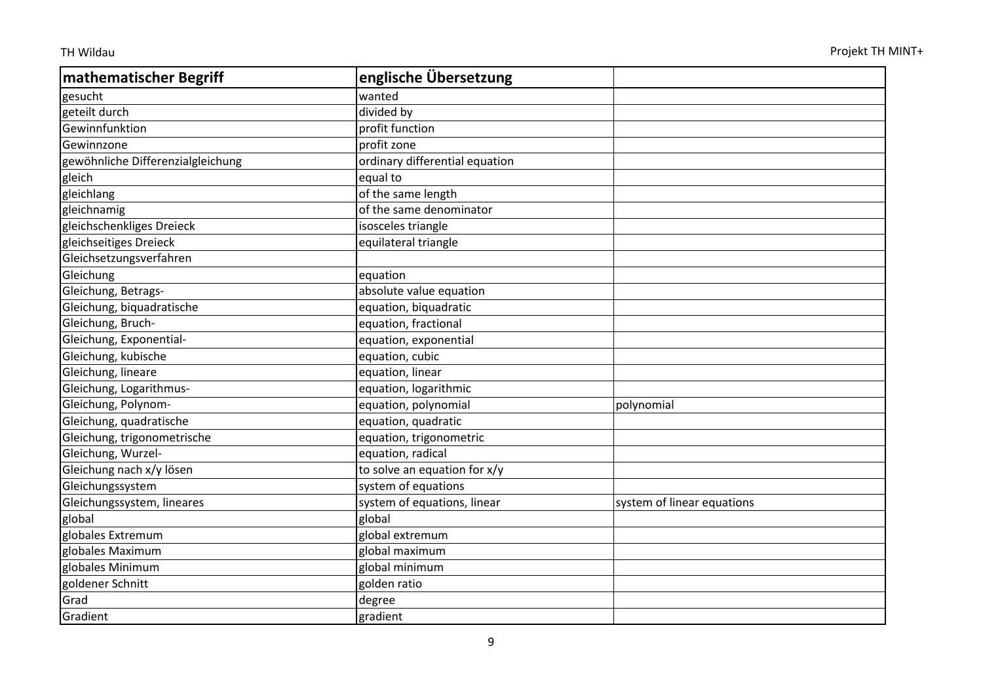| mathematischer Begriff            | englische Übersetzung          |                            |
|-----------------------------------|--------------------------------|----------------------------|
| gesucht                           | wanted                         |                            |
| geteilt durch                     | divided by                     |                            |
| Gewinnfunktion                    | profit function                |                            |
| Gewinnzone                        | profit zone                    |                            |
| gewöhnliche Differenzialgleichung | ordinary differential equation |                            |
| gleich                            | equal to                       |                            |
| gleichlang                        | of the same length             |                            |
| gleichnamig                       | of the same denominator        |                            |
| gleichschenkliges Dreieck         | isosceles triangle             |                            |
| gleichseitiges Dreieck            | equilateral triangle           |                            |
| Gleichsetzungsverfahren           |                                |                            |
| Gleichung                         | equation                       |                            |
| Gleichung, Betrags-               | absolute value equation        |                            |
| Gleichung, biquadratische         | equation, biquadratic          |                            |
| Gleichung, Bruch-                 | equation, fractional           |                            |
| Gleichung, Exponential-           | equation, exponential          |                            |
| Gleichung, kubische               | equation, cubic                |                            |
| Gleichung, lineare                | equation, linear               |                            |
| Gleichung, Logarithmus-           | equation, logarithmic          |                            |
| Gleichung, Polynom-               | equation, polynomial           | polynomial                 |
| Gleichung, quadratische           | equation, quadratic            |                            |
| Gleichung, trigonometrische       | equation, trigonometric        |                            |
| Gleichung, Wurzel-                | equation, radical              |                            |
| Gleichung nach x/y lösen          | to solve an equation for x/y   |                            |
| Gleichungssystem                  | system of equations            |                            |
| Gleichungssystem, lineares        | system of equations, linear    | system of linear equations |
| global                            | global                         |                            |
| globales Extremum                 | global extremum                |                            |
| globales Maximum                  | global maximum                 |                            |
| globales Minimum                  | global minimum                 |                            |
| goldener Schnitt                  | golden ratio                   |                            |
| Grad                              | degree                         |                            |
| Gradient                          | gradient                       |                            |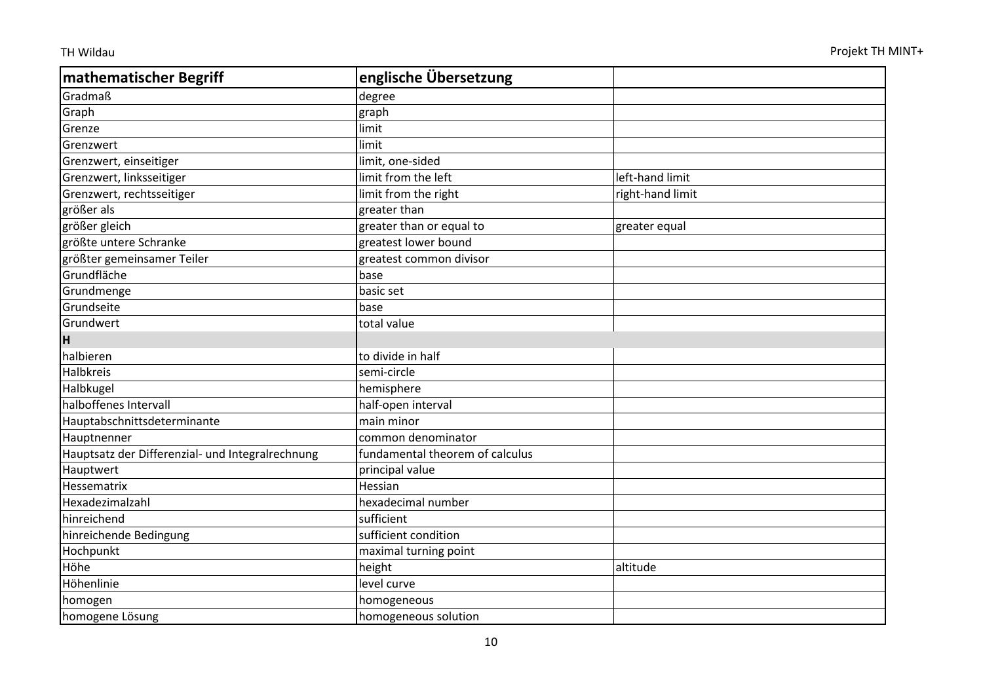| mathematischer Begriff                           | englische Übersetzung           |                  |
|--------------------------------------------------|---------------------------------|------------------|
| Gradmaß                                          | degree                          |                  |
| Graph                                            | graph                           |                  |
| Grenze                                           | limit                           |                  |
| Grenzwert                                        | limit                           |                  |
| Grenzwert, einseitiger                           | limit, one-sided                |                  |
| Grenzwert, linksseitiger                         | limit from the left             | left-hand limit  |
| Grenzwert, rechtsseitiger                        | limit from the right            | right-hand limit |
| größer als                                       | greater than                    |                  |
| größer gleich                                    | greater than or equal to        | greater equal    |
| größte untere Schranke                           | greatest lower bound            |                  |
| größter gemeinsamer Teiler                       | greatest common divisor         |                  |
| Grundfläche                                      | base                            |                  |
| Grundmenge                                       | basic set                       |                  |
| Grundseite                                       | base                            |                  |
| Grundwert                                        | total value                     |                  |
| н                                                |                                 |                  |
| halbieren                                        | to divide in half               |                  |
| <b>Halbkreis</b>                                 | semi-circle                     |                  |
| Halbkugel                                        | hemisphere                      |                  |
| halboffenes Intervall                            | half-open interval              |                  |
| Hauptabschnittsdeterminante                      | main minor                      |                  |
| Hauptnenner                                      | common denominator              |                  |
| Hauptsatz der Differenzial- und Integralrechnung | fundamental theorem of calculus |                  |
| Hauptwert                                        | principal value                 |                  |
| Hessematrix                                      | Hessian                         |                  |
| Hexadezimalzahl                                  | hexadecimal number              |                  |
| hinreichend                                      | sufficient                      |                  |
| hinreichende Bedingung                           | sufficient condition            |                  |
| Hochpunkt                                        | maximal turning point           |                  |
| Höhe                                             | height                          | altitude         |
| Höhenlinie                                       | level curve                     |                  |
| homogen                                          | homogeneous                     |                  |
| homogene Lösung                                  | homogeneous solution            |                  |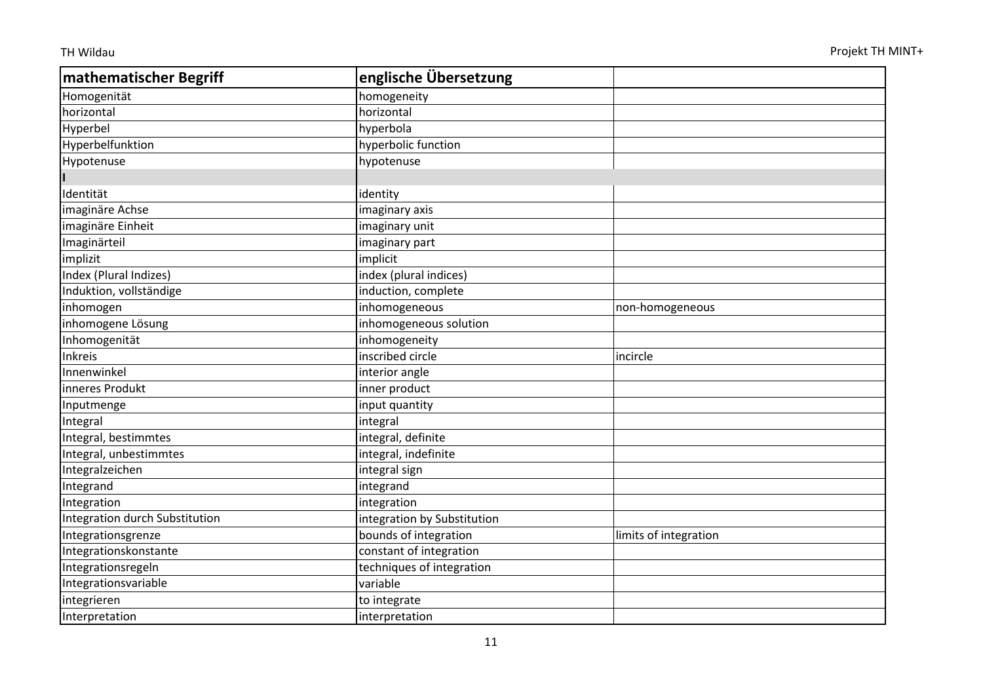| mathematischer Begriff         | englische Übersetzung       |                       |
|--------------------------------|-----------------------------|-----------------------|
| Homogenität                    | homogeneity                 |                       |
| horizontal                     | horizontal                  |                       |
| Hyperbel                       | hyperbola                   |                       |
| Hyperbelfunktion               | hyperbolic function         |                       |
| Hypotenuse                     | hypotenuse                  |                       |
|                                |                             |                       |
| Identität                      | identity                    |                       |
| imaginäre Achse                | imaginary axis              |                       |
| imaginäre Einheit              | imaginary unit              |                       |
| Imaginärteil                   | imaginary part              |                       |
| implizit                       | implicit                    |                       |
| Index (Plural Indizes)         | index (plural indices)      |                       |
| Induktion, vollständige        | induction, complete         |                       |
| inhomogen                      | inhomogeneous               | non-homogeneous       |
| inhomogene Lösung              | inhomogeneous solution      |                       |
| Inhomogenität                  | inhomogeneity               |                       |
| Inkreis                        | inscribed circle            | incircle              |
| Innenwinkel                    | interior angle              |                       |
| inneres Produkt                | inner product               |                       |
| Inputmenge                     | input quantity              |                       |
| Integral                       | integral                    |                       |
| Integral, bestimmtes           | integral, definite          |                       |
| Integral, unbestimmtes         | integral, indefinite        |                       |
| Integralzeichen                | integral sign               |                       |
| Integrand                      | integrand                   |                       |
| Integration                    | integration                 |                       |
| Integration durch Substitution | integration by Substitution |                       |
| Integrationsgrenze             | bounds of integration       | limits of integration |
| Integrationskonstante          | constant of integration     |                       |
| Integrationsregeln             | techniques of integration   |                       |
| Integrationsvariable           | variable                    |                       |
| integrieren                    | to integrate                |                       |
| Interpretation                 | interpretation              |                       |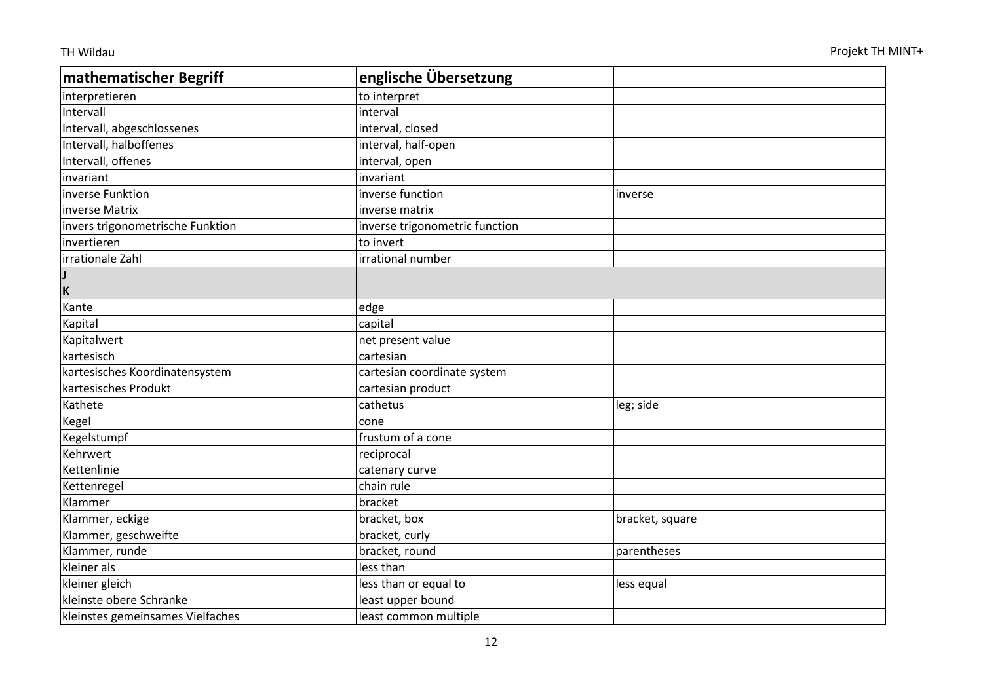| <b>mathematischer Begriff</b>    | englische Übersetzung          |                 |
|----------------------------------|--------------------------------|-----------------|
| interpretieren                   | to interpret                   |                 |
| Intervall                        | interval                       |                 |
| Intervall, abgeschlossenes       | interval, closed               |                 |
| Intervall, halboffenes           | interval, half-open            |                 |
| Intervall, offenes               | interval, open                 |                 |
| invariant                        | invariant                      |                 |
| inverse Funktion                 | inverse function               | inverse         |
| inverse Matrix                   | inverse matrix                 |                 |
| invers trigonometrische Funktion | inverse trigonometric function |                 |
| invertieren                      | to invert                      |                 |
| irrationale Zahl                 | irrational number              |                 |
|                                  |                                |                 |
| İΚ                               |                                |                 |
| Kante                            | edge                           |                 |
| Kapital                          | capital                        |                 |
| Kapitalwert                      | net present value              |                 |
| kartesisch                       | cartesian                      |                 |
| kartesisches Koordinatensystem   | cartesian coordinate system    |                 |
| kartesisches Produkt             | cartesian product              |                 |
| Kathete                          | cathetus                       | leg; side       |
| Kegel                            | cone                           |                 |
| Kegelstumpf                      | frustum of a cone              |                 |
| Kehrwert                         | reciprocal                     |                 |
| Kettenlinie                      | catenary curve                 |                 |
| Kettenregel                      | chain rule                     |                 |
| Klammer                          | bracket                        |                 |
| Klammer, eckige                  | bracket, box                   | bracket, square |
| Klammer, geschweifte             | bracket, curly                 |                 |
| Klammer, runde                   | bracket, round                 | parentheses     |
| kleiner als                      | less than                      |                 |
| kleiner gleich                   | less than or equal to          | less equal      |
| kleinste obere Schranke          | least upper bound              |                 |
| kleinstes gemeinsames Vielfaches | least common multiple          |                 |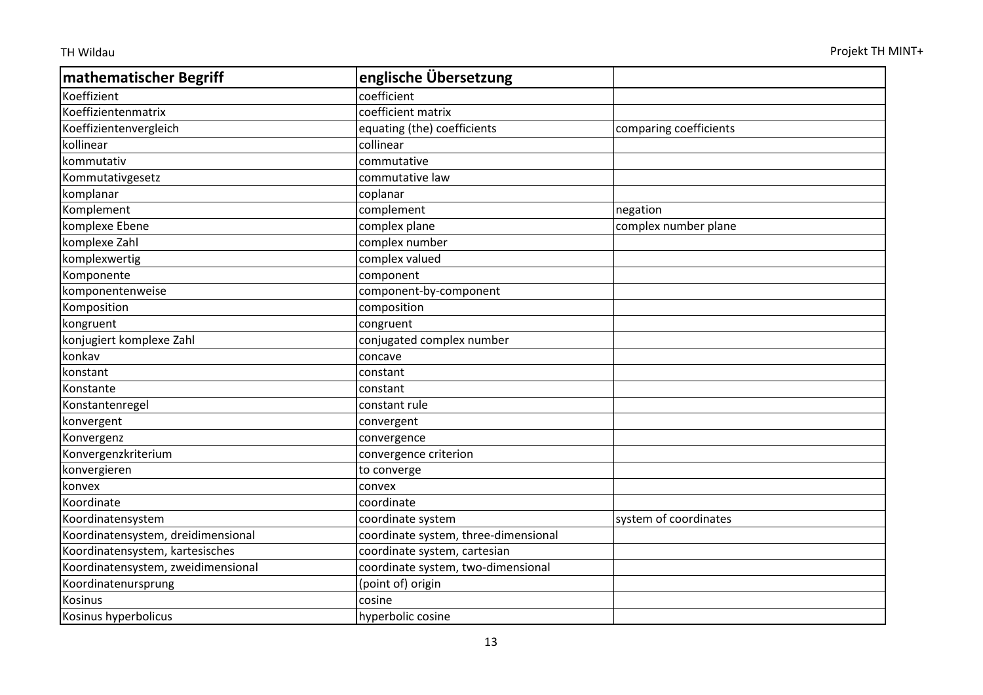| mathematischer Begriff             | englische Übersetzung                |                        |
|------------------------------------|--------------------------------------|------------------------|
| Koeffizient                        | coefficient                          |                        |
| Koeffizientenmatrix                | coefficient matrix                   |                        |
| Koeffizientenvergleich             | equating (the) coefficients          | comparing coefficients |
| kollinear                          | collinear                            |                        |
| kommutativ                         | commutative                          |                        |
| Kommutativgesetz                   | commutative law                      |                        |
| komplanar                          | coplanar                             |                        |
| Komplement                         | complement                           | negation               |
| komplexe Ebene                     | complex plane                        | complex number plane   |
| komplexe Zahl                      | complex number                       |                        |
| komplexwertig                      | complex valued                       |                        |
| Komponente                         | component                            |                        |
| komponentenweise                   | component-by-component               |                        |
| Komposition                        | composition                          |                        |
| kongruent                          | congruent                            |                        |
| konjugiert komplexe Zahl           | conjugated complex number            |                        |
| konkav                             | concave                              |                        |
| konstant                           | constant                             |                        |
| Konstante                          | constant                             |                        |
| Konstantenregel                    | constant rule                        |                        |
| konvergent                         | convergent                           |                        |
| Konvergenz                         | convergence                          |                        |
| Konvergenzkriterium                | convergence criterion                |                        |
| konvergieren                       | to converge                          |                        |
| konvex                             | convex                               |                        |
| Koordinate                         | coordinate                           |                        |
| Koordinatensystem                  | coordinate system                    | system of coordinates  |
| Koordinatensystem, dreidimensional | coordinate system, three-dimensional |                        |
| Koordinatensystem, kartesisches    | coordinate system, cartesian         |                        |
| Koordinatensystem, zweidimensional | coordinate system, two-dimensional   |                        |
| Koordinatenursprung                | (point of) origin                    |                        |
| <b>Kosinus</b>                     | cosine                               |                        |
| Kosinus hyperbolicus               | hyperbolic cosine                    |                        |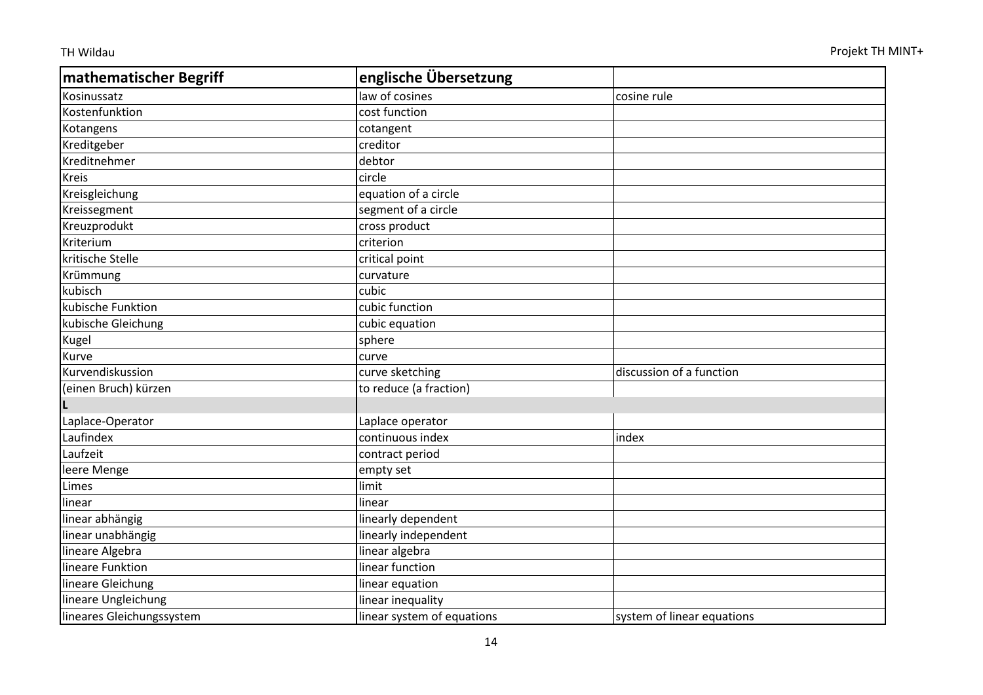| mathematischer Begriff    | englische Übersetzung      |                            |
|---------------------------|----------------------------|----------------------------|
| Kosinussatz               | law of cosines             | cosine rule                |
| Kostenfunktion            | cost function              |                            |
| Kotangens                 | cotangent                  |                            |
| Kreditgeber               | creditor                   |                            |
| Kreditnehmer              | debtor                     |                            |
| <b>Kreis</b>              | circle                     |                            |
| Kreisgleichung            | equation of a circle       |                            |
| Kreissegment              | segment of a circle        |                            |
| Kreuzprodukt              | cross product              |                            |
| Kriterium                 | criterion                  |                            |
| kritische Stelle          | critical point             |                            |
| Krümmung                  | curvature                  |                            |
| kubisch                   | cubic                      |                            |
| kubische Funktion         | cubic function             |                            |
| kubische Gleichung        | cubic equation             |                            |
| Kugel                     | sphere                     |                            |
| Kurve                     | curve                      |                            |
| Kurvendiskussion          | curve sketching            | discussion of a function   |
| (einen Bruch) kürzen      | to reduce (a fraction)     |                            |
|                           |                            |                            |
| Laplace-Operator          | Laplace operator           |                            |
| Laufindex                 | continuous index           | index                      |
| Laufzeit                  | contract period            |                            |
| leere Menge               | empty set                  |                            |
| Limes                     | limit                      |                            |
| linear                    | linear                     |                            |
| linear abhängig           | linearly dependent         |                            |
| linear unabhängig         | linearly independent       |                            |
| lineare Algebra           | linear algebra             |                            |
| lineare Funktion          | linear function            |                            |
| lineare Gleichung         | linear equation            |                            |
| lineare Ungleichung       | linear inequality          |                            |
| lineares Gleichungssystem | linear system of equations | system of linear equations |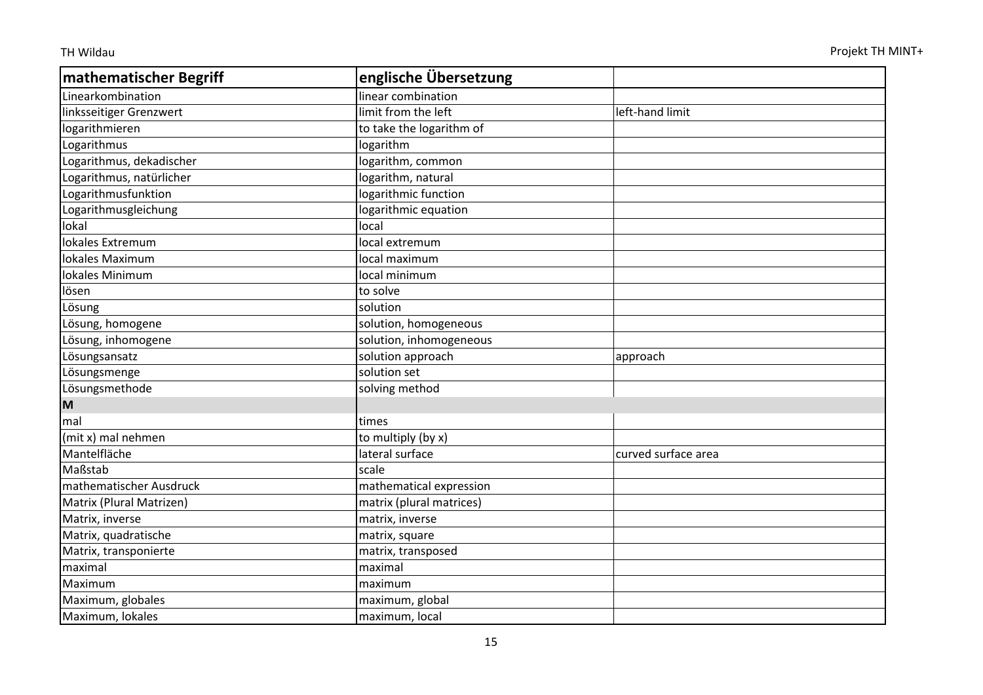| <b>mathematischer Begriff</b> | englische Übersetzung    |                     |
|-------------------------------|--------------------------|---------------------|
| Linearkombination             | linear combination       |                     |
| linksseitiger Grenzwert       | limit from the left      | left-hand limit     |
| logarithmieren                | to take the logarithm of |                     |
| Logarithmus                   | logarithm                |                     |
| Logarithmus, dekadischer      | logarithm, common        |                     |
| Logarithmus, natürlicher      | logarithm, natural       |                     |
| Logarithmusfunktion           | logarithmic function     |                     |
| Logarithmusgleichung          | logarithmic equation     |                     |
| lokal                         | local                    |                     |
| lokales Extremum              | local extremum           |                     |
| lokales Maximum               | local maximum            |                     |
| lokales Minimum               | local minimum            |                     |
| lösen                         | to solve                 |                     |
| Lösung                        | solution                 |                     |
| Lösung, homogene              | solution, homogeneous    |                     |
| Lösung, inhomogene            | solution, inhomogeneous  |                     |
| Lösungsansatz                 | solution approach        | approach            |
| Lösungsmenge                  | solution set             |                     |
| Lösungsmethode                | solving method           |                     |
| M                             |                          |                     |
| mal                           | times                    |                     |
| (mit x) mal nehmen            | to multiply (by x)       |                     |
| Mantelfläche                  | lateral surface          | curved surface area |
| Maßstab                       | scale                    |                     |
| mathematischer Ausdruck       | mathematical expression  |                     |
| Matrix (Plural Matrizen)      | matrix (plural matrices) |                     |
| Matrix, inverse               | matrix, inverse          |                     |
| Matrix, quadratische          | matrix, square           |                     |
| Matrix, transponierte         | matrix, transposed       |                     |
| maximal                       | maximal                  |                     |
| Maximum                       | maximum                  |                     |
| Maximum, globales             | maximum, global          |                     |
| Maximum, lokales              | maximum, local           |                     |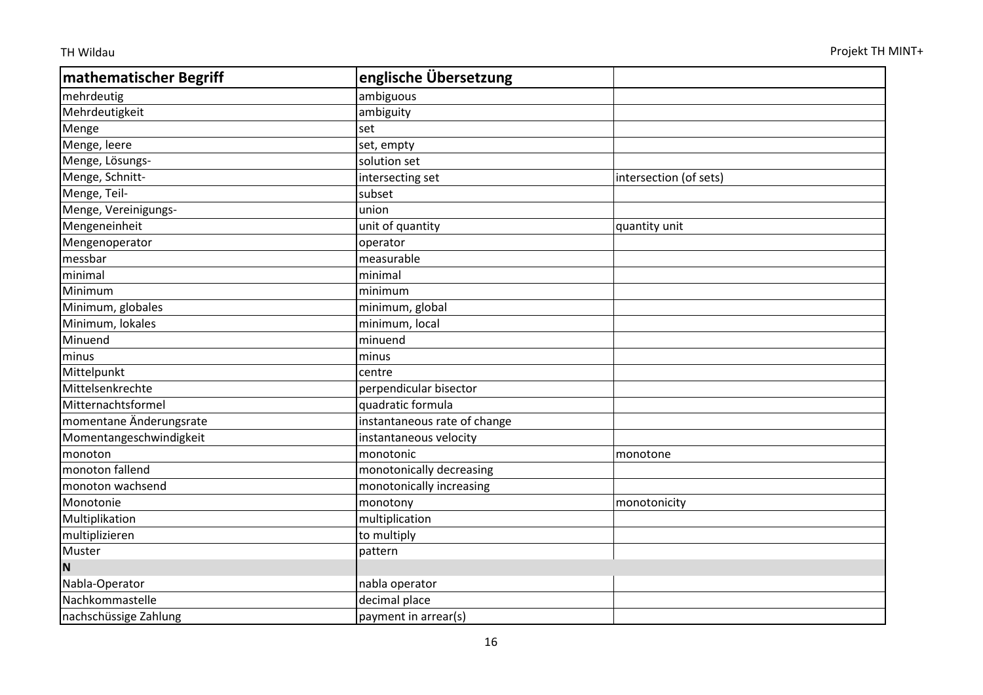| mathematischer Begriff  | englische Übersetzung        |                        |
|-------------------------|------------------------------|------------------------|
| mehrdeutig              | ambiguous                    |                        |
| Mehrdeutigkeit          | ambiguity                    |                        |
| Menge                   | set                          |                        |
| Menge, leere            | set, empty                   |                        |
| Menge, Lösungs-         | solution set                 |                        |
| Menge, Schnitt-         | intersecting set             | intersection (of sets) |
| Menge, Teil-            | subset                       |                        |
| Menge, Vereinigungs-    | union                        |                        |
| Mengeneinheit           | unit of quantity             | quantity unit          |
| Mengenoperator          | operator                     |                        |
| messbar                 | measurable                   |                        |
| minimal                 | minimal                      |                        |
| Minimum                 | minimum                      |                        |
| Minimum, globales       | minimum, global              |                        |
| Minimum, lokales        | minimum, local               |                        |
| Minuend                 | minuend                      |                        |
| minus                   | minus                        |                        |
| Mittelpunkt             | centre                       |                        |
| Mittelsenkrechte        | perpendicular bisector       |                        |
| Mitternachtsformel      | quadratic formula            |                        |
| momentane Änderungsrate | instantaneous rate of change |                        |
| Momentangeschwindigkeit | instantaneous velocity       |                        |
| monoton                 | monotonic                    | monotone               |
| monoton fallend         | monotonically decreasing     |                        |
| monoton wachsend        | monotonically increasing     |                        |
| Monotonie               | monotony                     | monotonicity           |
| Multiplikation          | multiplication               |                        |
| multiplizieren          | to multiply                  |                        |
| Muster                  | pattern                      |                        |
| N                       |                              |                        |
| Nabla-Operator          | nabla operator               |                        |
| Nachkommastelle         | decimal place                |                        |
| nachschüssige Zahlung   | payment in arrear(s)         |                        |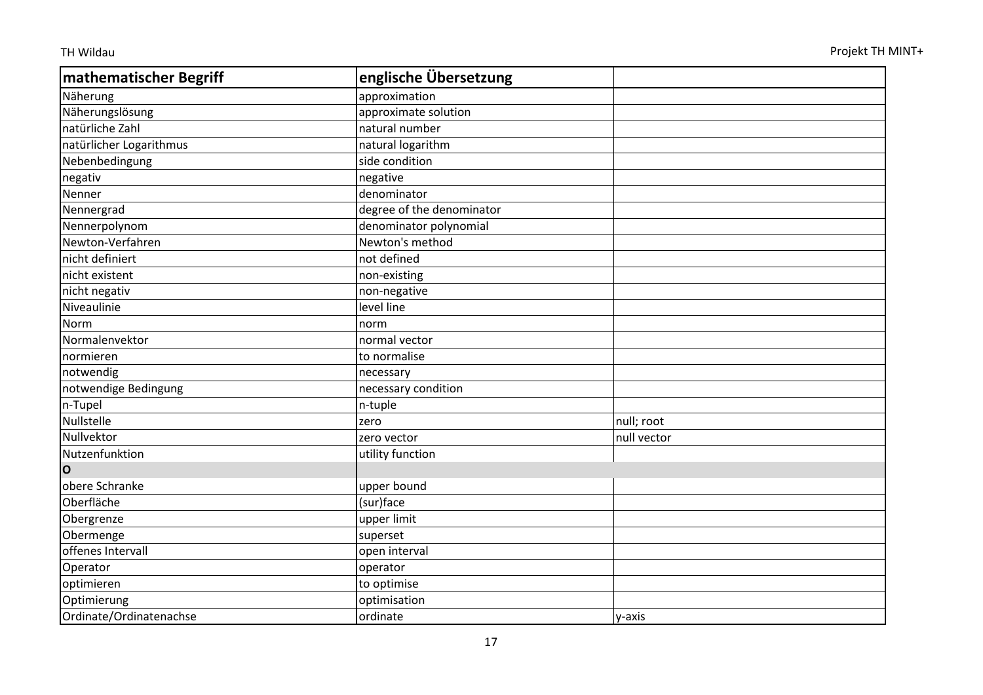| mathematischer Begriff  | englische Übersetzung     |             |
|-------------------------|---------------------------|-------------|
| Näherung                | approximation             |             |
| Näherungslösung         | approximate solution      |             |
| natürliche Zahl         | natural number            |             |
| natürlicher Logarithmus | natural logarithm         |             |
| Nebenbedingung          | side condition            |             |
| negativ                 | negative                  |             |
| Nenner                  | denominator               |             |
| Nennergrad              | degree of the denominator |             |
| Nennerpolynom           | denominator polynomial    |             |
| Newton-Verfahren        | Newton's method           |             |
| nicht definiert         | not defined               |             |
| nicht existent          | non-existing              |             |
| nicht negativ           | non-negative              |             |
| Niveaulinie             | level line                |             |
| Norm                    | norm                      |             |
| Normalenvektor          | normal vector             |             |
| normieren               | to normalise              |             |
| notwendig               | necessary                 |             |
| notwendige Bedingung    | necessary condition       |             |
| n-Tupel                 | n-tuple                   |             |
| Nullstelle              | zero                      | null; root  |
| Nullvektor              | zero vector               | null vector |
| Nutzenfunktion          | utility function          |             |
| $\overline{O}$          |                           |             |
| obere Schranke          | upper bound               |             |
| Oberfläche              | (sur)face                 |             |
| Obergrenze              | upper limit               |             |
| Obermenge               | superset                  |             |
| offenes Intervall       | open interval             |             |
| Operator                | operator                  |             |
| optimieren              | to optimise               |             |
| Optimierung             | optimisation              |             |
| Ordinate/Ordinatenachse | ordinate                  | y-axis      |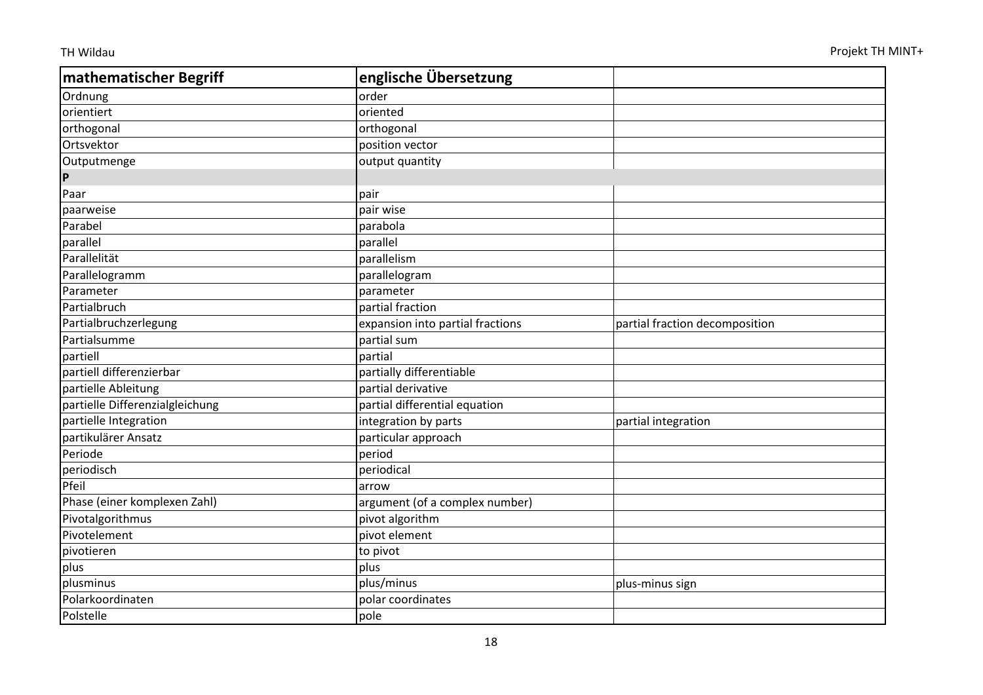| mathematischer Begriff          | englische Übersetzung            |                                |
|---------------------------------|----------------------------------|--------------------------------|
| Ordnung                         | order                            |                                |
| orientiert                      | oriented                         |                                |
| orthogonal                      | orthogonal                       |                                |
| Ortsvektor                      | position vector                  |                                |
| Outputmenge                     | output quantity                  |                                |
| $\boldsymbol{\mathsf{P}}$       |                                  |                                |
| Paar                            | pair                             |                                |
| paarweise                       | pair wise                        |                                |
| Parabel                         | parabola                         |                                |
| parallel                        | parallel                         |                                |
| Parallelität                    | parallelism                      |                                |
| Parallelogramm                  | parallelogram                    |                                |
| Parameter                       | parameter                        |                                |
| Partialbruch                    | partial fraction                 |                                |
| Partialbruchzerlegung           | expansion into partial fractions | partial fraction decomposition |
| Partialsumme                    | partial sum                      |                                |
| partiell                        | partial                          |                                |
| partiell differenzierbar        | partially differentiable         |                                |
| partielle Ableitung             | partial derivative               |                                |
| partielle Differenzialgleichung | partial differential equation    |                                |
| partielle Integration           | integration by parts             | partial integration            |
| partikulärer Ansatz             | particular approach              |                                |
| Periode                         | period                           |                                |
| periodisch                      | periodical                       |                                |
| Pfeil                           | arrow                            |                                |
| Phase (einer komplexen Zahl)    | argument (of a complex number)   |                                |
| Pivotalgorithmus                | pivot algorithm                  |                                |
| Pivotelement                    | pivot element                    |                                |
| pivotieren                      | to pivot                         |                                |
| plus                            | plus                             |                                |
| plusminus                       | plus/minus                       | plus-minus sign                |
| Polarkoordinaten                | polar coordinates                |                                |
| Polstelle                       | pole                             |                                |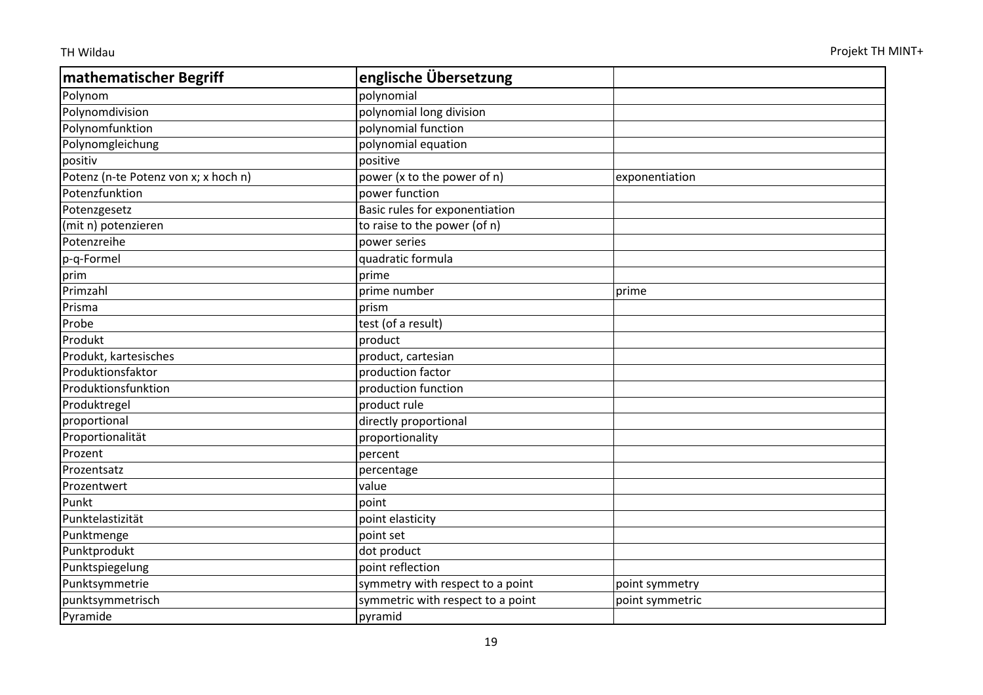| mathematischer Begriff               | englische Übersetzung             |                 |
|--------------------------------------|-----------------------------------|-----------------|
| Polynom                              | polynomial                        |                 |
| Polynomdivision                      | polynomial long division          |                 |
| Polynomfunktion                      | polynomial function               |                 |
| Polynomgleichung                     | polynomial equation               |                 |
| positiv                              | positive                          |                 |
| Potenz (n-te Potenz von x; x hoch n) | power (x to the power of n)       | exponentiation  |
| Potenzfunktion                       | power function                    |                 |
| Potenzgesetz                         | Basic rules for exponentiation    |                 |
| (mit n) potenzieren                  | to raise to the power (of n)      |                 |
| Potenzreihe                          | power series                      |                 |
| p-q-Formel                           | quadratic formula                 |                 |
| prim                                 | prime                             |                 |
| Primzahl                             | prime number                      | prime           |
| Prisma                               | prism                             |                 |
| Probe                                | test (of a result)                |                 |
| Produkt                              | product                           |                 |
| Produkt, kartesisches                | product, cartesian                |                 |
| Produktionsfaktor                    | production factor                 |                 |
| Produktionsfunktion                  | production function               |                 |
| Produktregel                         | product rule                      |                 |
| proportional                         | directly proportional             |                 |
| Proportionalität                     | proportionality                   |                 |
| Prozent                              | percent                           |                 |
| Prozentsatz                          | percentage                        |                 |
| Prozentwert                          | value                             |                 |
| Punkt                                | point                             |                 |
| Punktelastizität                     | point elasticity                  |                 |
| Punktmenge                           | point set                         |                 |
| Punktprodukt                         | dot product                       |                 |
| Punktspiegelung                      | point reflection                  |                 |
| Punktsymmetrie                       | symmetry with respect to a point  | point symmetry  |
| punktsymmetrisch                     | symmetric with respect to a point | point symmetric |
| Pyramide                             | pyramid                           |                 |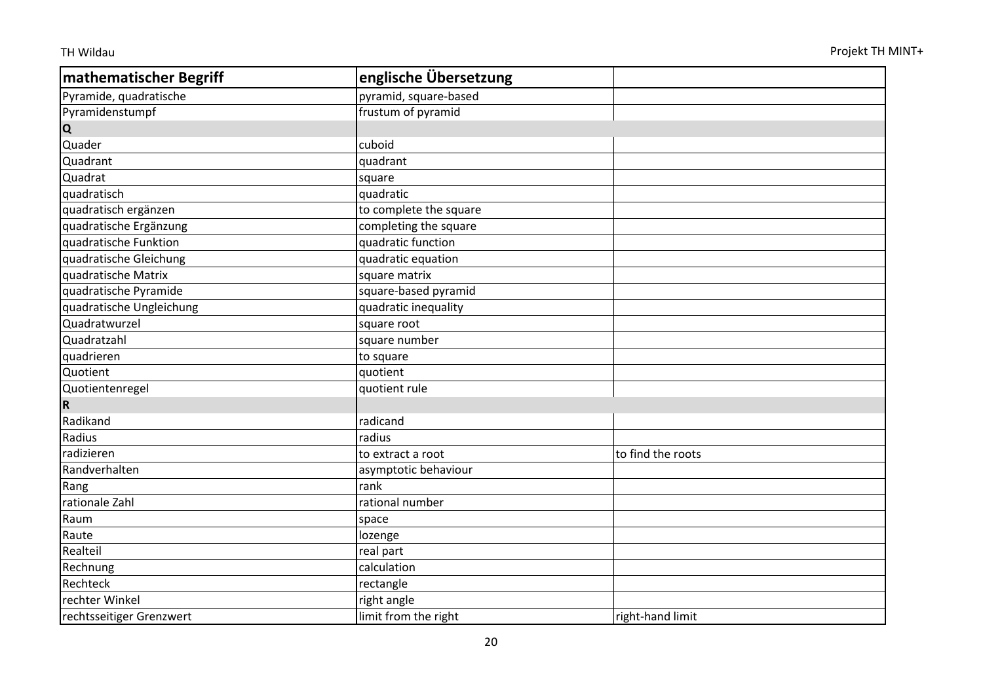| mathematischer Begriff   | englische Übersetzung  |                   |
|--------------------------|------------------------|-------------------|
| Pyramide, quadratische   | pyramid, square-based  |                   |
| Pyramidenstumpf          | frustum of pyramid     |                   |
| <b>Q</b>                 |                        |                   |
| Quader                   | cuboid                 |                   |
| Quadrant                 | quadrant               |                   |
| Quadrat                  | square                 |                   |
| quadratisch              | quadratic              |                   |
| quadratisch ergänzen     | to complete the square |                   |
| quadratische Ergänzung   | completing the square  |                   |
| quadratische Funktion    | quadratic function     |                   |
| quadratische Gleichung   | quadratic equation     |                   |
| quadratische Matrix      | square matrix          |                   |
| quadratische Pyramide    | square-based pyramid   |                   |
| quadratische Ungleichung | quadratic inequality   |                   |
| Quadratwurzel            | square root            |                   |
| Quadratzahl              | square number          |                   |
| quadrieren               | to square              |                   |
| Quotient                 | quotient               |                   |
| Quotientenregel          | quotient rule          |                   |
| R.                       |                        |                   |
| Radikand                 | radicand               |                   |
| Radius                   | radius                 |                   |
| radizieren               | to extract a root      | to find the roots |
| Randverhalten            | asymptotic behaviour   |                   |
| Rang                     | rank                   |                   |
| rationale Zahl           | rational number        |                   |
| Raum                     | space                  |                   |
| Raute                    | lozenge                |                   |
| Realteil                 | real part              |                   |
| Rechnung                 | calculation            |                   |
| Rechteck                 | rectangle              |                   |
| rechter Winkel           | right angle            |                   |
| rechtsseitiger Grenzwert | limit from the right   | right-hand limit  |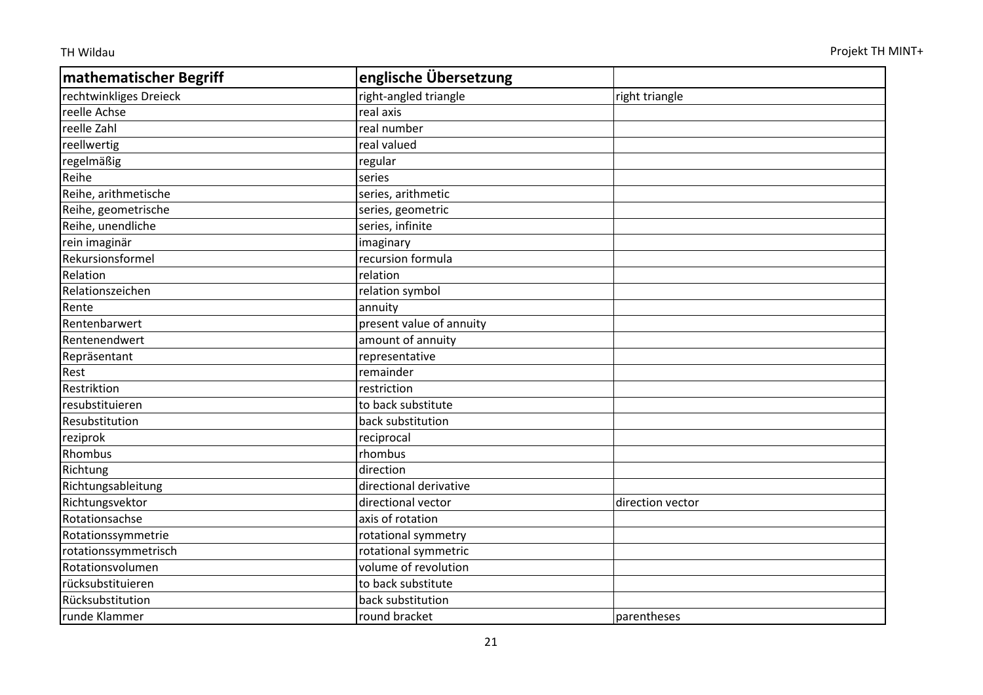| mathematischer Begriff | englische Übersetzung    |                  |
|------------------------|--------------------------|------------------|
| rechtwinkliges Dreieck | right-angled triangle    | right triangle   |
| reelle Achse           | real axis                |                  |
| reelle Zahl            | real number              |                  |
| reellwertig            | real valued              |                  |
| regelmäßig             | regular                  |                  |
| Reihe                  | series                   |                  |
| Reihe, arithmetische   | series, arithmetic       |                  |
| Reihe, geometrische    | series, geometric        |                  |
| Reihe, unendliche      | series, infinite         |                  |
| rein imaginär          | imaginary                |                  |
| Rekursionsformel       | recursion formula        |                  |
| Relation               | relation                 |                  |
| Relationszeichen       | relation symbol          |                  |
| Rente                  | annuity                  |                  |
| Rentenbarwert          | present value of annuity |                  |
| Rentenendwert          | amount of annuity        |                  |
| Repräsentant           | representative           |                  |
| Rest                   | remainder                |                  |
| Restriktion            | restriction              |                  |
| resubstituieren        | to back substitute       |                  |
| Resubstitution         | back substitution        |                  |
| reziprok               | reciprocal               |                  |
| Rhombus                | rhombus                  |                  |
| Richtung               | direction                |                  |
| Richtungsableitung     | directional derivative   |                  |
| Richtungsvektor        | directional vector       | direction vector |
| Rotationsachse         | axis of rotation         |                  |
| Rotationssymmetrie     | rotational symmetry      |                  |
| rotationssymmetrisch   | rotational symmetric     |                  |
| Rotationsvolumen       | volume of revolution     |                  |
| rücksubstituieren      | to back substitute       |                  |
| Rücksubstitution       | back substitution        |                  |
| runde Klammer          | round bracket            | parentheses      |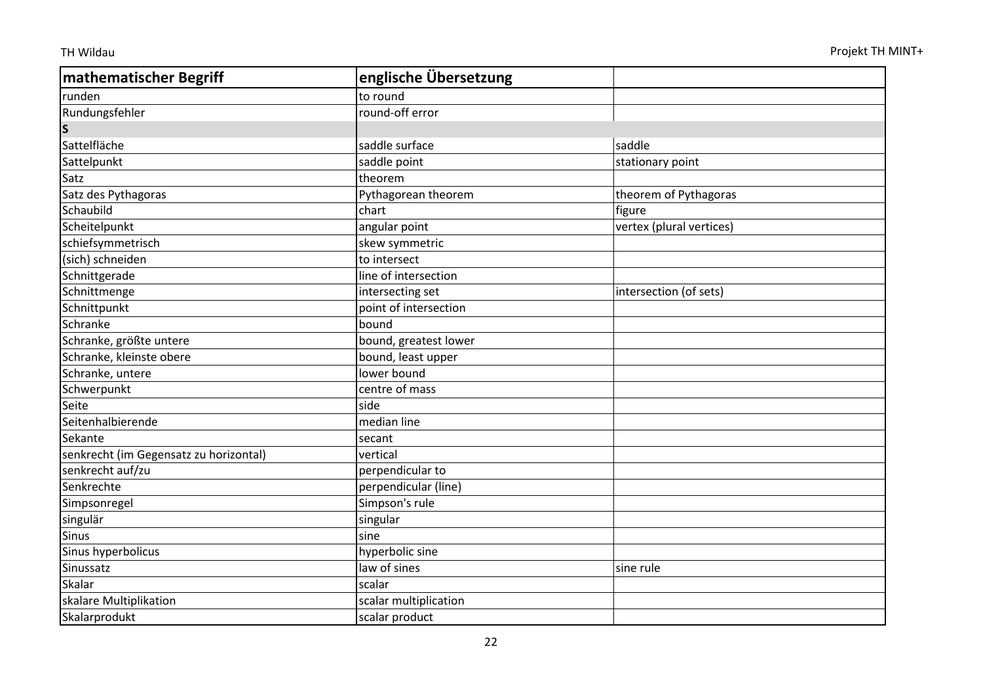| <b>mathematischer Begriff</b>          | englische Übersetzung |                          |
|----------------------------------------|-----------------------|--------------------------|
| runden                                 | to round              |                          |
| Rundungsfehler                         | round-off error       |                          |
| $\mathsf{s}$                           |                       |                          |
| Sattelfläche                           | saddle surface        | saddle                   |
| Sattelpunkt                            | saddle point          | stationary point         |
| Satz                                   | theorem               |                          |
| Satz des Pythagoras                    | Pythagorean theorem   | theorem of Pythagoras    |
| Schaubild                              | chart                 | figure                   |
| Scheitelpunkt                          | angular point         | vertex (plural vertices) |
| schiefsymmetrisch                      | skew symmetric        |                          |
| (sich) schneiden                       | to intersect          |                          |
| Schnittgerade                          | line of intersection  |                          |
| Schnittmenge                           | intersecting set      | intersection (of sets)   |
| Schnittpunkt                           | point of intersection |                          |
| Schranke                               | bound                 |                          |
| Schranke, größte untere                | bound, greatest lower |                          |
| Schranke, kleinste obere               | bound, least upper    |                          |
| Schranke, untere                       | lower bound           |                          |
| Schwerpunkt                            | centre of mass        |                          |
| Seite                                  | side                  |                          |
| Seitenhalbierende                      | median line           |                          |
| Sekante                                | secant                |                          |
| senkrecht (im Gegensatz zu horizontal) | vertical              |                          |
| senkrecht auf/zu                       | perpendicular to      |                          |
| Senkrechte                             | perpendicular (line)  |                          |
| Simpsonregel                           | Simpson's rule        |                          |
| singulär                               | singular              |                          |
| <b>Sinus</b>                           | sine                  |                          |
| Sinus hyperbolicus                     | hyperbolic sine       |                          |
| Sinussatz                              | law of sines          | sine rule                |
| Skalar                                 | scalar                |                          |
| skalare Multiplikation                 | scalar multiplication |                          |
| Skalarprodukt                          | scalar product        |                          |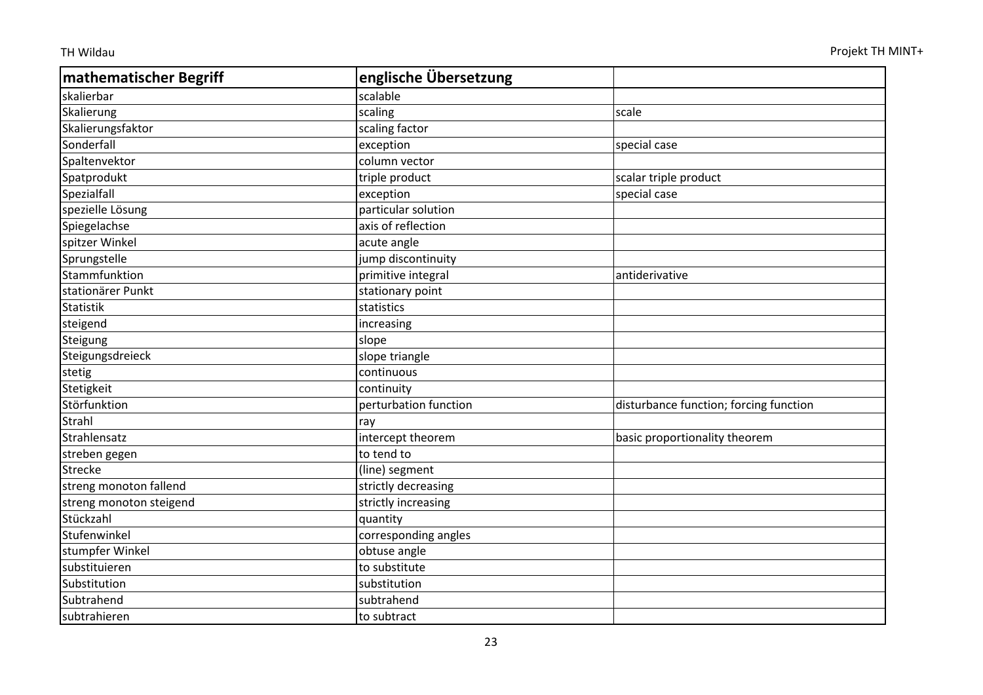| mathematischer Begriff  | englische Übersetzung |                                        |
|-------------------------|-----------------------|----------------------------------------|
| skalierbar              | scalable              |                                        |
| Skalierung              | scaling               | scale                                  |
| Skalierungsfaktor       | scaling factor        |                                        |
| Sonderfall              | exception             | special case                           |
| Spaltenvektor           | column vector         |                                        |
| Spatprodukt             | triple product        | scalar triple product                  |
| Spezialfall             | exception             | special case                           |
| spezielle Lösung        | particular solution   |                                        |
| Spiegelachse            | axis of reflection    |                                        |
| spitzer Winkel          | acute angle           |                                        |
| Sprungstelle            | jump discontinuity    |                                        |
| Stammfunktion           | primitive integral    | antiderivative                         |
| stationärer Punkt       | stationary point      |                                        |
| <b>Statistik</b>        | statistics            |                                        |
| steigend                | increasing            |                                        |
| Steigung                | slope                 |                                        |
| Steigungsdreieck        | slope triangle        |                                        |
| stetig                  | continuous            |                                        |
| Stetigkeit              | continuity            |                                        |
| Störfunktion            | perturbation function | disturbance function; forcing function |
| Strahl                  | ray                   |                                        |
| Strahlensatz            | intercept theorem     | basic proportionality theorem          |
| streben gegen           | to tend to            |                                        |
| <b>Strecke</b>          | (line) segment        |                                        |
| streng monoton fallend  | strictly decreasing   |                                        |
| streng monoton steigend | strictly increasing   |                                        |
| Stückzahl               | quantity              |                                        |
| Stufenwinkel            | corresponding angles  |                                        |
| stumpfer Winkel         | obtuse angle          |                                        |
| substituieren           | to substitute         |                                        |
| Substitution            | substitution          |                                        |
| Subtrahend              | subtrahend            |                                        |
| subtrahieren            | to subtract           |                                        |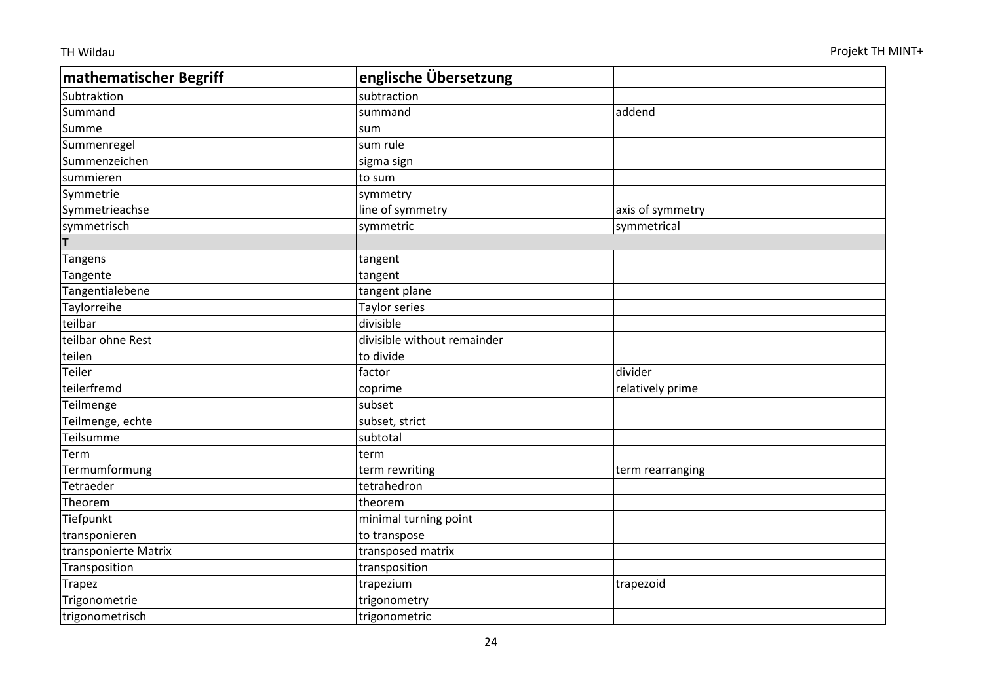| mathematischer Begriff | englische Übersetzung       |                  |
|------------------------|-----------------------------|------------------|
| Subtraktion            | subtraction                 |                  |
| Summand                | summand                     | addend           |
| Summe                  | sum                         |                  |
| Summenregel            | sum rule                    |                  |
| Summenzeichen          | sigma sign                  |                  |
| summieren              | to sum                      |                  |
| Symmetrie              | symmetry                    |                  |
| Symmetrieachse         | line of symmetry            | axis of symmetry |
| symmetrisch            | symmetric                   | symmetrical      |
| Τ                      |                             |                  |
| Tangens                | tangent                     |                  |
| Tangente               | tangent                     |                  |
| Tangentialebene        | tangent plane               |                  |
| Taylorreihe            | <b>Taylor series</b>        |                  |
| teilbar                | divisible                   |                  |
| teilbar ohne Rest      | divisible without remainder |                  |
| teilen                 | to divide                   |                  |
| Teiler                 | factor                      | divider          |
| teilerfremd            | coprime                     | relatively prime |
| Teilmenge              | subset                      |                  |
| Teilmenge, echte       | subset, strict              |                  |
| Teilsumme              | subtotal                    |                  |
| Term                   | term                        |                  |
| Termumformung          | term rewriting              | term rearranging |
| Tetraeder              | tetrahedron                 |                  |
| Theorem                | theorem                     |                  |
| Tiefpunkt              | minimal turning point       |                  |
| transponieren          | to transpose                |                  |
| transponierte Matrix   | transposed matrix           |                  |
| Transposition          | transposition               |                  |
| <b>Trapez</b>          | trapezium                   | trapezoid        |
| Trigonometrie          | trigonometry                |                  |
| trigonometrisch        | trigonometric               |                  |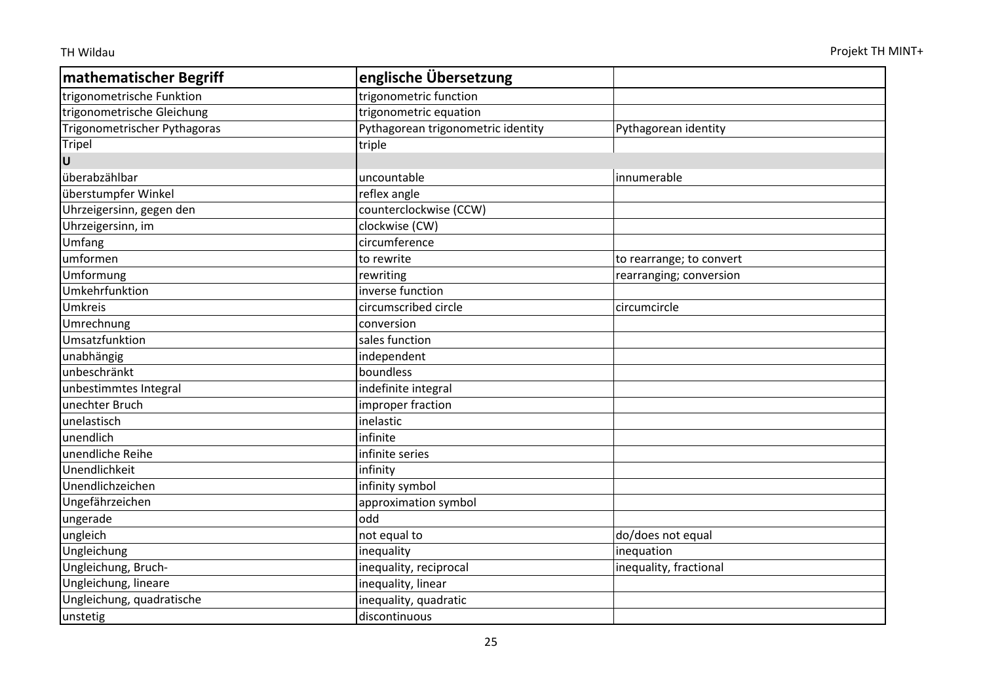| mathematischer Begriff       | englische Übersetzung              |                          |
|------------------------------|------------------------------------|--------------------------|
| trigonometrische Funktion    | trigonometric function             |                          |
| trigonometrische Gleichung   | trigonometric equation             |                          |
| Trigonometrischer Pythagoras | Pythagorean trigonometric identity | Pythagorean identity     |
| <b>Tripel</b>                | triple                             |                          |
| U                            |                                    |                          |
| überabzählbar                | uncountable                        | innumerable              |
| überstumpfer Winkel          | reflex angle                       |                          |
| Uhrzeigersinn, gegen den     | counterclockwise (CCW)             |                          |
| Uhrzeigersinn, im            | clockwise (CW)                     |                          |
| Umfang                       | circumference                      |                          |
| umformen                     | to rewrite                         | to rearrange; to convert |
| Umformung                    | rewriting                          | rearranging; conversion  |
| Umkehrfunktion               | inverse function                   |                          |
| Umkreis                      | circumscribed circle               | circumcircle             |
| Umrechnung                   | conversion                         |                          |
| Umsatzfunktion               | sales function                     |                          |
| unabhängig                   | independent                        |                          |
| unbeschränkt                 | boundless                          |                          |
| unbestimmtes Integral        | indefinite integral                |                          |
| unechter Bruch               | improper fraction                  |                          |
| unelastisch                  | inelastic                          |                          |
| unendlich                    | infinite                           |                          |
| unendliche Reihe             | infinite series                    |                          |
| Unendlichkeit                | infinity                           |                          |
| Unendlichzeichen             | infinity symbol                    |                          |
| Ungefährzeichen              | approximation symbol               |                          |
| ungerade                     | odd                                |                          |
| ungleich                     | not equal to                       | do/does not equal        |
| Ungleichung                  | inequality                         | inequation               |
| Ungleichung, Bruch-          | inequality, reciprocal             | inequality, fractional   |
| Ungleichung, lineare         | inequality, linear                 |                          |
| Ungleichung, quadratische    | inequality, quadratic              |                          |
| unstetig                     | discontinuous                      |                          |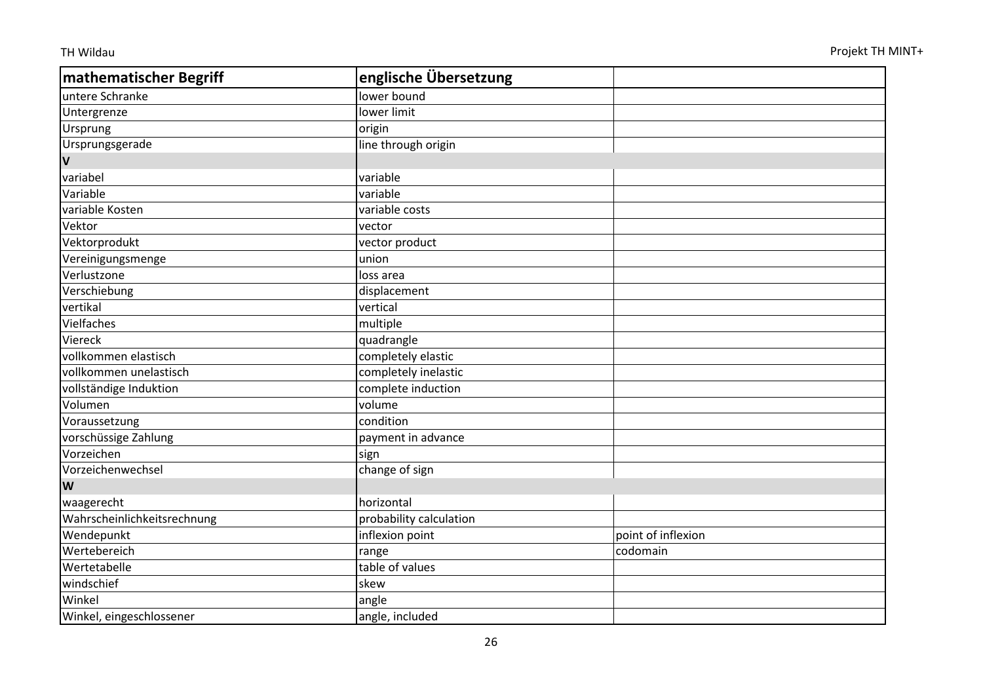| mathematischer Begriff      | englische Übersetzung   |                    |
|-----------------------------|-------------------------|--------------------|
| untere Schranke             | lower bound             |                    |
| Untergrenze                 | lower limit             |                    |
| Ursprung                    | origin                  |                    |
| Ursprungsgerade             | line through origin     |                    |
| $\mathbf v$                 |                         |                    |
| variabel                    | variable                |                    |
| Variable                    | variable                |                    |
| variable Kosten             | variable costs          |                    |
| Vektor                      | vector                  |                    |
| Vektorprodukt               | vector product          |                    |
| Vereinigungsmenge           | union                   |                    |
| Verlustzone                 | loss area               |                    |
| Verschiebung                | displacement            |                    |
| vertikal                    | vertical                |                    |
| Vielfaches                  | multiple                |                    |
| Viereck                     | quadrangle              |                    |
| vollkommen elastisch        | completely elastic      |                    |
| vollkommen unelastisch      | completely inelastic    |                    |
| vollständige Induktion      | complete induction      |                    |
| Volumen                     | volume                  |                    |
| Voraussetzung               | condition               |                    |
| vorschüssige Zahlung        | payment in advance      |                    |
| Vorzeichen                  | sign                    |                    |
| Vorzeichenwechsel           | change of sign          |                    |
| W                           |                         |                    |
| waagerecht                  | horizontal              |                    |
| Wahrscheinlichkeitsrechnung | probability calculation |                    |
| Wendepunkt                  | inflexion point         | point of inflexion |
| Wertebereich                | range                   | codomain           |
| Wertetabelle                | table of values         |                    |
| windschief                  | skew                    |                    |
| Winkel                      | angle                   |                    |
| Winkel, eingeschlossener    | angle, included         |                    |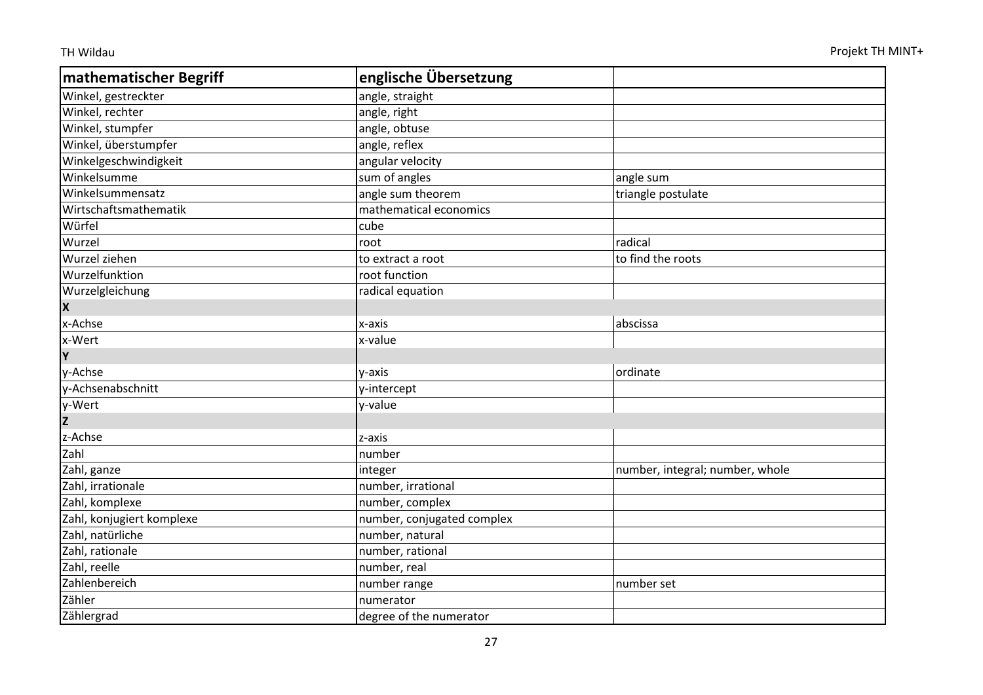| mathematischer Begriff    | englische Übersetzung      |                                 |
|---------------------------|----------------------------|---------------------------------|
| Winkel, gestreckter       | angle, straight            |                                 |
| Winkel, rechter           | angle, right               |                                 |
| Winkel, stumpfer          | angle, obtuse              |                                 |
| Winkel, überstumpfer      | angle, reflex              |                                 |
| Winkelgeschwindigkeit     | angular velocity           |                                 |
| Winkelsumme               | sum of angles              | angle sum                       |
| Winkelsummensatz          | angle sum theorem          | triangle postulate              |
| Wirtschaftsmathematik     | mathematical economics     |                                 |
| Würfel                    | cube                       |                                 |
| Wurzel                    | root                       | radical                         |
| Wurzel ziehen             | to extract a root          | to find the roots               |
| Wurzelfunktion            | root function              |                                 |
| Wurzelgleichung           | radical equation           |                                 |
| X                         |                            |                                 |
| x-Achse                   | x-axis                     | abscissa                        |
| x-Wert                    | x-value                    |                                 |
| İΥ                        |                            |                                 |
| y-Achse                   | y-axis                     | ordinate                        |
| y-Achsenabschnitt         | y-intercept                |                                 |
| y-Wert                    | y-value                    |                                 |
| $\overline{z}$            |                            |                                 |
| z-Achse                   | z-axis                     |                                 |
| Zahl                      | number                     |                                 |
| Zahl, ganze               | integer                    | number, integral; number, whole |
| Zahl, irrationale         | number, irrational         |                                 |
| Zahl, komplexe            | number, complex            |                                 |
| Zahl, konjugiert komplexe | number, conjugated complex |                                 |
| Zahl, natürliche          | number, natural            |                                 |
| Zahl, rationale           | number, rational           |                                 |
| Zahl, reelle              | number, real               |                                 |
| Zahlenbereich             | number range               | number set                      |
| Zähler                    | numerator                  |                                 |
| Zählergrad                | degree of the numerator    |                                 |